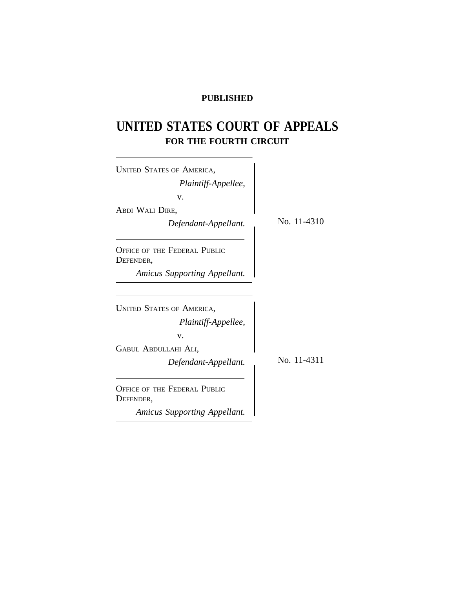# **PUBLISHED**

# **UNITED STATES COURT OF APPEALS FOR THE FOURTH CIRCUIT**

| <b>UNITED STATES OF AMERICA,</b>                 |             |
|--------------------------------------------------|-------------|
| Plaintiff-Appellee,                              |             |
|                                                  |             |
| v.<br>ABDI WALI DIRE,                            |             |
| Defendant-Appellant.                             | No. 11-4310 |
| <b>OFFICE OF THE FEDERAL PUBLIC</b><br>DEFENDER, |             |
| Amicus Supporting Appellant.                     |             |
|                                                  |             |
| <b>UNITED STATES OF AMERICA,</b>                 |             |
| Plaintiff-Appellee,                              |             |
| V.                                               |             |
| GABUL ABDULLAHI ALI,                             |             |
| Defendant-Appellant.                             | No. 11-4311 |
| <b>OFFICE OF THE FEDERAL PUBLIC</b><br>DEFENDER, |             |
| Amicus Supporting Appellant.                     |             |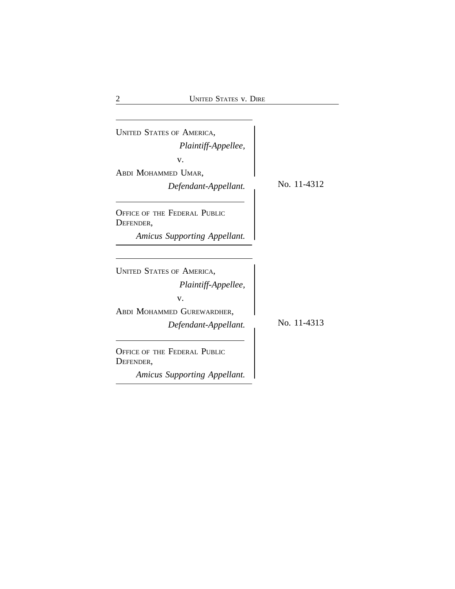| No. 11-4312 |
|-------------|
|             |
|             |
|             |
|             |
|             |
|             |
|             |
| No. 11-4313 |
|             |
|             |
|             |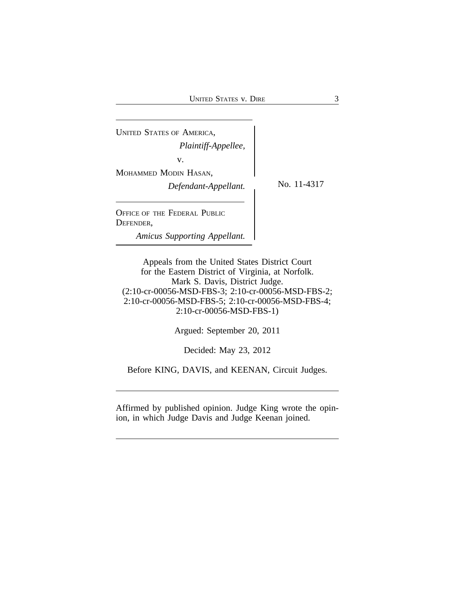| <b>UNITED STATES OF AMERICA,</b><br>Plaintiff-Appellee,<br>v.<br>MOHAMMED MODIN HASAN,<br>Defendant-Appellant. | No. 11-4317 |
|----------------------------------------------------------------------------------------------------------------|-------------|
| OFFICE OF THE FEDERAL PUBLIC<br>DEFENDER,<br><b>Amicus Supporting Appellant.</b>                               |             |

Appeals from the United States District Court for the Eastern District of Virginia, at Norfolk. Mark S. Davis, District Judge. (2:10-cr-00056-MSD-FBS-3; 2:10-cr-00056-MSD-FBS-2; 2:10-cr-00056-MSD-FBS-5; 2:10-cr-00056-MSD-FBS-4; 2:10-cr-00056-MSD-FBS-1)

Argued: September 20, 2011

Decided: May 23, 2012

Before KING, DAVIS, and KEENAN, Circuit Judges.

Affirmed by published opinion. Judge King wrote the opinion, in which Judge Davis and Judge Keenan joined.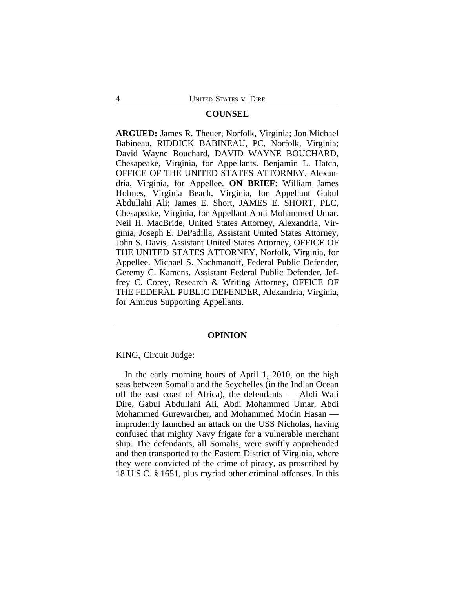## **COUNSEL**

**ARGUED:** James R. Theuer, Norfolk, Virginia; Jon Michael Babineau, RIDDICK BABINEAU, PC, Norfolk, Virginia; David Wayne Bouchard, DAVID WAYNE BOUCHARD, Chesapeake, Virginia, for Appellants. Benjamin L. Hatch, OFFICE OF THE UNITED STATES ATTORNEY, Alexandria, Virginia, for Appellee. **ON BRIEF**: William James Holmes, Virginia Beach, Virginia, for Appellant Gabul Abdullahi Ali; James E. Short, JAMES E. SHORT, PLC, Chesapeake, Virginia, for Appellant Abdi Mohammed Umar. Neil H. MacBride, United States Attorney, Alexandria, Virginia, Joseph E. DePadilla, Assistant United States Attorney, John S. Davis, Assistant United States Attorney, OFFICE OF THE UNITED STATES ATTORNEY, Norfolk, Virginia, for Appellee. Michael S. Nachmanoff, Federal Public Defender, Geremy C. Kamens, Assistant Federal Public Defender, Jeffrey C. Corey, Research & Writing Attorney, OFFICE OF THE FEDERAL PUBLIC DEFENDER, Alexandria, Virginia, for Amicus Supporting Appellants.

## **OPINION**

KING, Circuit Judge:

In the early morning hours of April 1, 2010, on the high seas between Somalia and the Seychelles (in the Indian Ocean off the east coast of Africa), the defendants — Abdi Wali Dire, Gabul Abdullahi Ali, Abdi Mohammed Umar, Abdi Mohammed Gurewardher, and Mohammed Modin Hasan imprudently launched an attack on the USS Nicholas, having confused that mighty Navy frigate for a vulnerable merchant ship. The defendants, all Somalis, were swiftly apprehended and then transported to the Eastern District of Virginia, where they were convicted of the crime of piracy, as proscribed by 18 U.S.C. § 1651, plus myriad other criminal offenses. In this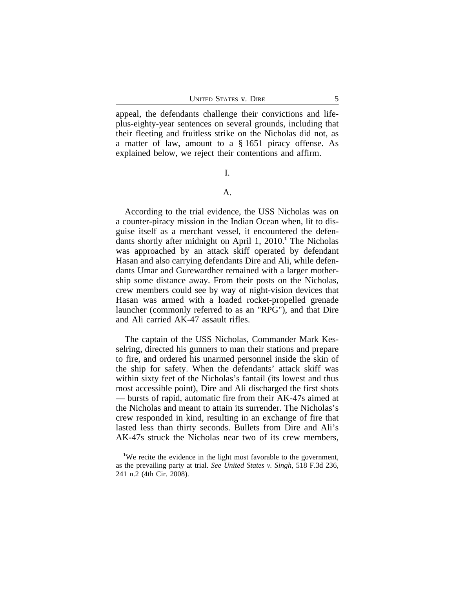appeal, the defendants challenge their convictions and lifeplus-eighty-year sentences on several grounds, including that their fleeting and fruitless strike on the Nicholas did not, as a matter of law, amount to a § 1651 piracy offense. As explained below, we reject their contentions and affirm.

## I.

# A.

According to the trial evidence, the USS Nicholas was on a counter-piracy mission in the Indian Ocean when, lit to disguise itself as a merchant vessel, it encountered the defendants shortly after midnight on April 1, 2010.**<sup>1</sup>** The Nicholas was approached by an attack skiff operated by defendant Hasan and also carrying defendants Dire and Ali, while defendants Umar and Gurewardher remained with a larger mothership some distance away. From their posts on the Nicholas, crew members could see by way of night-vision devices that Hasan was armed with a loaded rocket-propelled grenade launcher (commonly referred to as an "RPG"), and that Dire and Ali carried AK-47 assault rifles.

The captain of the USS Nicholas, Commander Mark Kesselring, directed his gunners to man their stations and prepare to fire, and ordered his unarmed personnel inside the skin of the ship for safety. When the defendants' attack skiff was within sixty feet of the Nicholas's fantail (its lowest and thus most accessible point), Dire and Ali discharged the first shots — bursts of rapid, automatic fire from their AK-47s aimed at the Nicholas and meant to attain its surrender. The Nicholas's crew responded in kind, resulting in an exchange of fire that lasted less than thirty seconds. Bullets from Dire and Ali's AK-47s struck the Nicholas near two of its crew members,

<sup>&</sup>lt;sup>1</sup>We recite the evidence in the light most favorable to the government, as the prevailing party at trial. *See United States v. Singh*, 518 F.3d 236, 241 n.2 (4th Cir. 2008).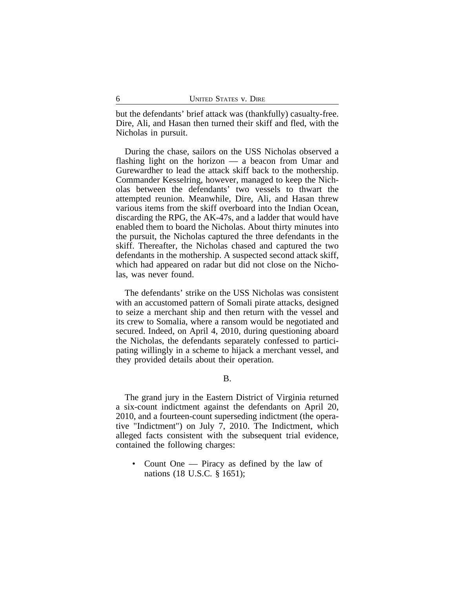but the defendants' brief attack was (thankfully) casualty-free. Dire, Ali, and Hasan then turned their skiff and fled, with the Nicholas in pursuit.

During the chase, sailors on the USS Nicholas observed a flashing light on the horizon — a beacon from Umar and Gurewardher to lead the attack skiff back to the mothership. Commander Kesselring, however, managed to keep the Nicholas between the defendants' two vessels to thwart the attempted reunion. Meanwhile, Dire, Ali, and Hasan threw various items from the skiff overboard into the Indian Ocean, discarding the RPG, the AK-47s, and a ladder that would have enabled them to board the Nicholas. About thirty minutes into the pursuit, the Nicholas captured the three defendants in the skiff. Thereafter, the Nicholas chased and captured the two defendants in the mothership. A suspected second attack skiff, which had appeared on radar but did not close on the Nicholas, was never found.

The defendants' strike on the USS Nicholas was consistent with an accustomed pattern of Somali pirate attacks, designed to seize a merchant ship and then return with the vessel and its crew to Somalia, where a ransom would be negotiated and secured. Indeed, on April 4, 2010, during questioning aboard the Nicholas, the defendants separately confessed to participating willingly in a scheme to hijack a merchant vessel, and they provided details about their operation.

B.

The grand jury in the Eastern District of Virginia returned a six-count indictment against the defendants on April 20, 2010, and a fourteen-count superseding indictment (the operative "Indictment") on July 7, 2010. The Indictment, which alleged facts consistent with the subsequent trial evidence, contained the following charges:

• Count One — Piracy as defined by the law of nations (18 U.S.C. § 1651);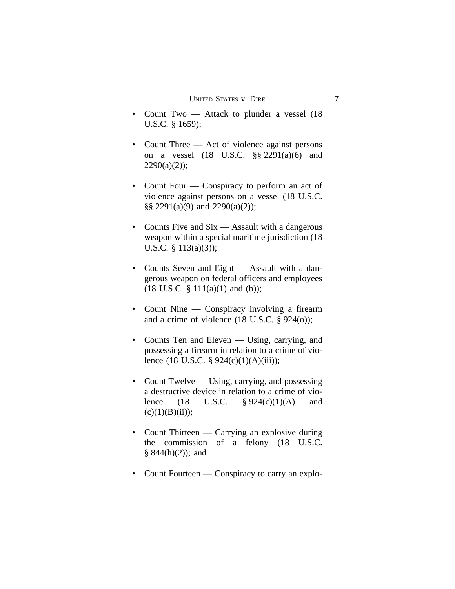- Count Two Attack to plunder a vessel (18 U.S.C. § 1659);
- Count Three Act of violence against persons on a vessel (18 U.S.C. §§ 2291(a)(6) and  $2290(a)(2)$ ;
- Count Four Conspiracy to perform an act of violence against persons on a vessel (18 U.S.C. §§ 2291(a)(9) and 2290(a)(2));
- Counts Five and Six Assault with a dangerous weapon within a special maritime jurisdiction (18 U.S.C. § 113(a)(3));
- Counts Seven and Eight Assault with a dangerous weapon on federal officers and employees  $(18 \text{ U.S.C. } § 111(a)(1) \text{ and } (b));$
- Count Nine Conspiracy involving a firearm and a crime of violence (18 U.S.C. § 924(o));
- Counts Ten and Eleven Using, carrying, and possessing a firearm in relation to a crime of violence (18 U.S.C. § 924(c)(1)(A)(iii));
- Count Twelve Using, carrying, and possessing a destructive device in relation to a crime of violence (18 U.S.C.  $\frac{6}{924(c)(1)(A)}$  and  $(c)(1)(B)(ii))$ ;
- Count Thirteen Carrying an explosive during the commission of a felony (18 U.S.C.  $§ 844(h)(2)$ ; and
- Count Fourteen Conspiracy to carry an explo-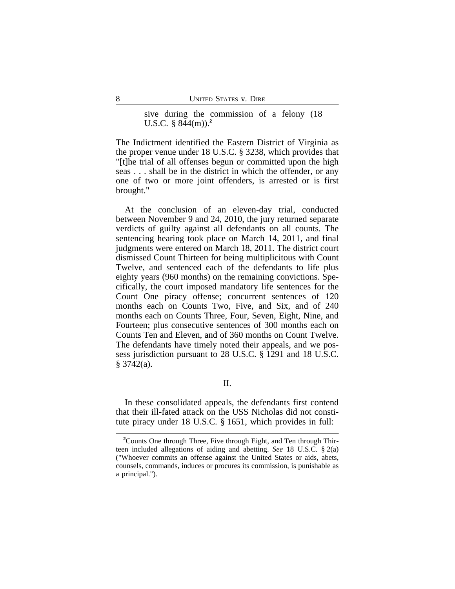sive during the commission of a felony (18 U.S.C. § 844(m)).**<sup>2</sup>**

The Indictment identified the Eastern District of Virginia as the proper venue under 18 U.S.C. § 3238, which provides that "[t]he trial of all offenses begun or committed upon the high seas . . . shall be in the district in which the offender, or any one of two or more joint offenders, is arrested or is first brought."

At the conclusion of an eleven-day trial, conducted between November 9 and 24, 2010, the jury returned separate verdicts of guilty against all defendants on all counts. The sentencing hearing took place on March 14, 2011, and final judgments were entered on March 18, 2011. The district court dismissed Count Thirteen for being multiplicitous with Count Twelve, and sentenced each of the defendants to life plus eighty years (960 months) on the remaining convictions. Specifically, the court imposed mandatory life sentences for the Count One piracy offense; concurrent sentences of 120 months each on Counts Two, Five, and Six, and of 240 months each on Counts Three, Four, Seven, Eight, Nine, and Fourteen; plus consecutive sentences of 300 months each on Counts Ten and Eleven, and of 360 months on Count Twelve. The defendants have timely noted their appeals, and we possess jurisdiction pursuant to 28 U.S.C. § 1291 and 18 U.S.C. § 3742(a).

II.

In these consolidated appeals, the defendants first contend that their ill-fated attack on the USS Nicholas did not constitute piracy under 18 U.S.C. § 1651, which provides in full:

**<sup>2</sup>**Counts One through Three, Five through Eight, and Ten through Thirteen included allegations of aiding and abetting. *See* 18 U.S.C. § 2(a) ("Whoever commits an offense against the United States or aids, abets, counsels, commands, induces or procures its commission, is punishable as a principal.").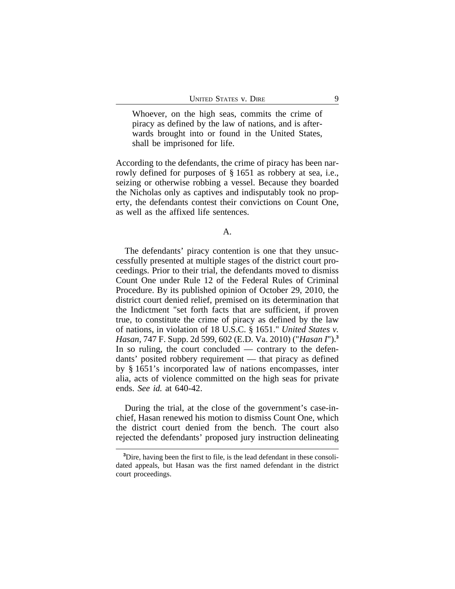Whoever, on the high seas, commits the crime of piracy as defined by the law of nations, and is afterwards brought into or found in the United States, shall be imprisoned for life.

According to the defendants, the crime of piracy has been narrowly defined for purposes of § 1651 as robbery at sea, i.e., seizing or otherwise robbing a vessel. Because they boarded the Nicholas only as captives and indisputably took no property, the defendants contest their convictions on Count One, as well as the affixed life sentences.

A.

The defendants' piracy contention is one that they unsuccessfully presented at multiple stages of the district court proceedings. Prior to their trial, the defendants moved to dismiss Count One under Rule 12 of the Federal Rules of Criminal Procedure. By its published opinion of October 29, 2010, the district court denied relief, premised on its determination that the Indictment "set forth facts that are sufficient, if proven true, to constitute the crime of piracy as defined by the law of nations, in violation of 18 U.S.C. § 1651." *United States v. Hasan*, 747 F. Supp. 2d 599, 602 (E.D. Va. 2010) ("*Hasan I*").**<sup>3</sup>** In so ruling, the court concluded — contrary to the defendants' posited robbery requirement — that piracy as defined by § 1651's incorporated law of nations encompasses, inter alia, acts of violence committed on the high seas for private ends. *See id.* at 640-42.

During the trial, at the close of the government's case-inchief, Hasan renewed his motion to dismiss Count One, which the district court denied from the bench. The court also rejected the defendants' proposed jury instruction delineating

**<sup>3</sup>**Dire, having been the first to file, is the lead defendant in these consolidated appeals, but Hasan was the first named defendant in the district court proceedings.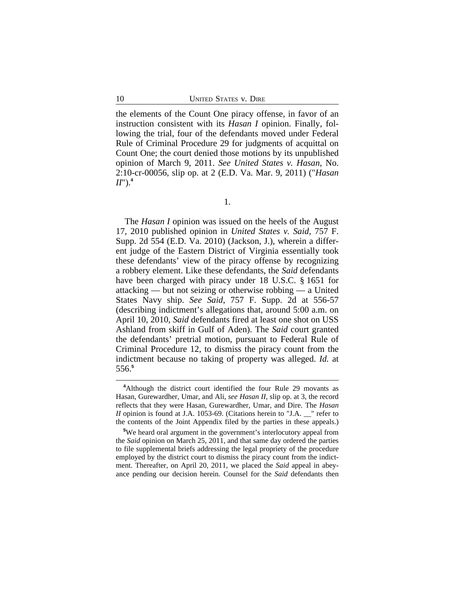the elements of the Count One piracy offense, in favor of an instruction consistent with its *Hasan I* opinion. Finally, following the trial, four of the defendants moved under Federal Rule of Criminal Procedure 29 for judgments of acquittal on Count One; the court denied those motions by its unpublished opinion of March 9, 2011. *See United States v. Hasan*, No. 2:10-cr-00056, slip op. at 2 (E.D. Va. Mar. 9, 2011) ("*Hasan*  $II$ ").<sup>4</sup>

1.

The *Hasan I* opinion was issued on the heels of the August 17, 2010 published opinion in *United States v. Said*, 757 F. Supp. 2d 554 (E.D. Va. 2010) (Jackson, J.), wherein a different judge of the Eastern District of Virginia essentially took these defendants' view of the piracy offense by recognizing a robbery element. Like these defendants, the *Said* defendants have been charged with piracy under 18 U.S.C. § 1651 for attacking — but not seizing or otherwise robbing — a United States Navy ship. *See Said*, 757 F. Supp. 2d at 556-57 (describing indictment's allegations that, around 5:00 a.m. on April 10, 2010, *Said* defendants fired at least one shot on USS Ashland from skiff in Gulf of Aden). The *Said* court granted the defendants' pretrial motion, pursuant to Federal Rule of Criminal Procedure 12, to dismiss the piracy count from the indictment because no taking of property was alleged. *Id.* at 556.**<sup>5</sup>**

**<sup>4</sup>**Although the district court identified the four Rule 29 movants as Hasan, Gurewardher, Umar, and Ali, *see Hasan II*, slip op. at 3, the record reflects that they were Hasan, Gurewardher, Umar, and Dire. The *Hasan II* opinion is found at J.A. 1053-69. (Citations herein to "J.A. \_\_" refer to the contents of the Joint Appendix filed by the parties in these appeals.)

**<sup>5</sup>**We heard oral argument in the government's interlocutory appeal from the *Said* opinion on March 25, 2011, and that same day ordered the parties to file supplemental briefs addressing the legal propriety of the procedure employed by the district court to dismiss the piracy count from the indictment. Thereafter, on April 20, 2011, we placed the *Said* appeal in abeyance pending our decision herein. Counsel for the *Said* defendants then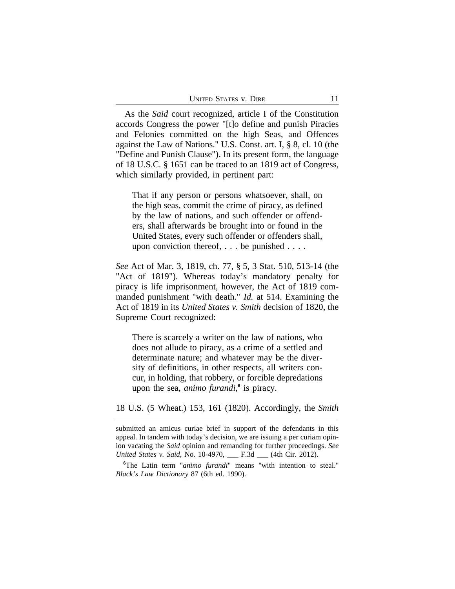| UNITED STATES V. DIRE |  |
|-----------------------|--|
|                       |  |

As the *Said* court recognized, article I of the Constitution accords Congress the power "[t]o define and punish Piracies and Felonies committed on the high Seas, and Offences against the Law of Nations." U.S. Const. art. I, § 8, cl. 10 (the "Define and Punish Clause"). In its present form, the language of 18 U.S.C. § 1651 can be traced to an 1819 act of Congress, which similarly provided, in pertinent part:

That if any person or persons whatsoever, shall, on the high seas, commit the crime of piracy, as defined by the law of nations, and such offender or offenders, shall afterwards be brought into or found in the United States, every such offender or offenders shall, upon conviction thereof, . . . be punished . . . .

*See* Act of Mar. 3, 1819, ch. 77, § 5, 3 Stat. 510, 513-14 (the "Act of 1819"). Whereas today's mandatory penalty for piracy is life imprisonment, however, the Act of 1819 commanded punishment "with death." *Id.* at 514. Examining the Act of 1819 in its *United States v. Smith* decision of 1820, the Supreme Court recognized:

There is scarcely a writer on the law of nations, who does not allude to piracy, as a crime of a settled and determinate nature; and whatever may be the diversity of definitions, in other respects, all writers concur, in holding, that robbery, or forcible depredations upon the sea, *animo furandi*, **6** is piracy.

18 U.S. (5 Wheat.) 153, 161 (1820). Accordingly, the *Smith*

**<sup>6</sup>**The Latin term "*animo furandi*" means "with intention to steal." *Black's Law Dictionary* 87 (6th ed. 1990).

submitted an amicus curiae brief in support of the defendants in this appeal. In tandem with today's decision, we are issuing a per curiam opinion vacating the *Said* opinion and remanding for further proceedings. *See United States v. Said*, No. 10-4970, \_\_\_ F.3d \_\_\_ (4th Cir. 2012).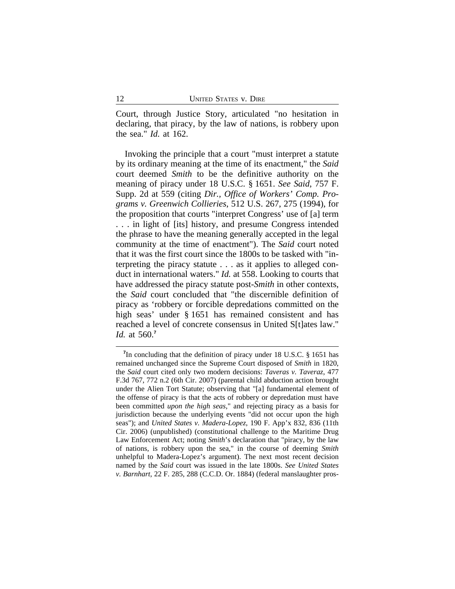Court, through Justice Story, articulated "no hesitation in declaring, that piracy, by the law of nations, is robbery upon the sea." *Id.* at 162.

Invoking the principle that a court "must interpret a statute by its ordinary meaning at the time of its enactment," the *Said* court deemed *Smith* to be the definitive authority on the meaning of piracy under 18 U.S.C. § 1651. *See Said*, 757 F. Supp. 2d at 559 (citing *Dir., Office of Workers' Comp. Programs v. Greenwich Collieries*, 512 U.S. 267, 275 (1994), for the proposition that courts "interpret Congress' use of [a] term . . . in light of [its] history, and presume Congress intended the phrase to have the meaning generally accepted in the legal community at the time of enactment"). The *Said* court noted that it was the first court since the 1800s to be tasked with "interpreting the piracy statute . . . as it applies to alleged conduct in international waters." *Id.* at 558. Looking to courts that have addressed the piracy statute post-*Smith* in other contexts, the *Said* court concluded that "the discernible definition of piracy as 'robbery or forcible depredations committed on the high seas' under § 1651 has remained consistent and has reached a level of concrete consensus in United S[t]ates law." *Id.* at 560.**<sup>7</sup>**

<sup>&</sup>lt;sup>7</sup>In concluding that the definition of piracy under 18 U.S.C. § 1651 has remained unchanged since the Supreme Court disposed of *Smith* in 1820, the *Said* court cited only two modern decisions: *Taveras v. Taveraz*, 477 F.3d 767, 772 n.2 (6th Cir. 2007) (parental child abduction action brought under the Alien Tort Statute; observing that "[a] fundamental element of the offense of piracy is that the acts of robbery or depredation must have been committed *upon the high seas*," and rejecting piracy as a basis for jurisdiction because the underlying events "did not occur upon the high seas"); and *United States v. Madera-Lopez*, 190 F. App'x 832, 836 (11th Cir. 2006) (unpublished) (constitutional challenge to the Maritime Drug Law Enforcement Act; noting *Smith*'s declaration that "piracy, by the law of nations, is robbery upon the sea," in the course of deeming *Smith* unhelpful to Madera-Lopez's argument). The next most recent decision named by the *Said* court was issued in the late 1800s. *See United States v. Barnhart*, 22 F. 285, 288 (C.C.D. Or. 1884) (federal manslaughter pros-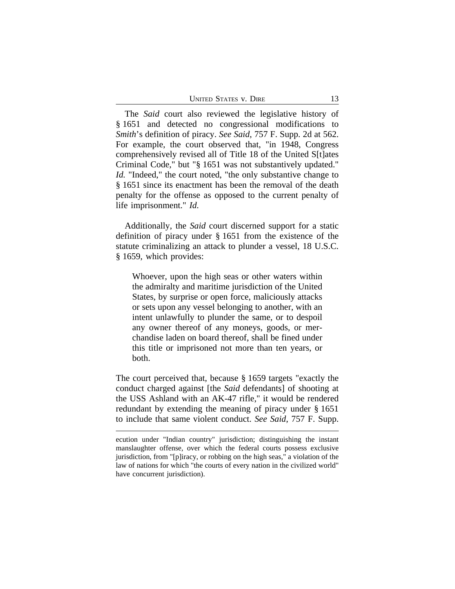The *Said* court also reviewed the legislative history of § 1651 and detected no congressional modifications to *Smith*'s definition of piracy. *See Said*, 757 F. Supp. 2d at 562. For example, the court observed that, "in 1948, Congress comprehensively revised all of Title 18 of the United S[t]ates Criminal Code," but "§ 1651 was not substantively updated." *Id.* "Indeed," the court noted, "the only substantive change to § 1651 since its enactment has been the removal of the death penalty for the offense as opposed to the current penalty of life imprisonment." *Id.*

Additionally, the *Said* court discerned support for a static definition of piracy under § 1651 from the existence of the statute criminalizing an attack to plunder a vessel, 18 U.S.C. § 1659, which provides:

Whoever, upon the high seas or other waters within the admiralty and maritime jurisdiction of the United States, by surprise or open force, maliciously attacks or sets upon any vessel belonging to another, with an intent unlawfully to plunder the same, or to despoil any owner thereof of any moneys, goods, or merchandise laden on board thereof, shall be fined under this title or imprisoned not more than ten years, or both.

The court perceived that, because § 1659 targets "exactly the conduct charged against [the *Said* defendants] of shooting at the USS Ashland with an AK-47 rifle," it would be rendered redundant by extending the meaning of piracy under § 1651 to include that same violent conduct. *See Said*, 757 F. Supp.

ecution under "Indian country" jurisdiction; distinguishing the instant manslaughter offense, over which the federal courts possess exclusive jurisdiction, from "[p]iracy, or robbing on the high seas," a violation of the law of nations for which "the courts of every nation in the civilized world" have concurrent jurisdiction).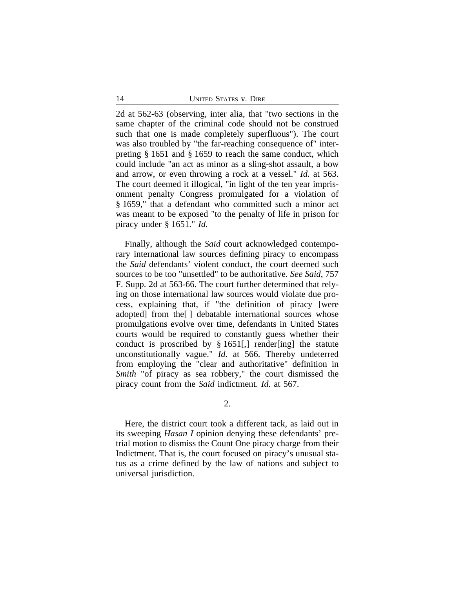2d at 562-63 (observing, inter alia, that "two sections in the same chapter of the criminal code should not be construed such that one is made completely superfluous"). The court was also troubled by "the far-reaching consequence of" interpreting § 1651 and § 1659 to reach the same conduct, which could include "an act as minor as a sling-shot assault, a bow and arrow, or even throwing a rock at a vessel." *Id.* at 563. The court deemed it illogical, "in light of the ten year imprisonment penalty Congress promulgated for a violation of § 1659," that a defendant who committed such a minor act was meant to be exposed "to the penalty of life in prison for piracy under § 1651." *Id.*

Finally, although the *Said* court acknowledged contemporary international law sources defining piracy to encompass the *Said* defendants' violent conduct, the court deemed such sources to be too "unsettled" to be authoritative. *See Said*, 757 F. Supp. 2d at 563-66. The court further determined that relying on those international law sources would violate due process, explaining that, if "the definition of piracy [were adopted] from the[ ] debatable international sources whose promulgations evolve over time, defendants in United States courts would be required to constantly guess whether their conduct is proscribed by § 1651[,] render[ing] the statute unconstitutionally vague." *Id.* at 566. Thereby undeterred from employing the "clear and authoritative" definition in *Smith* "of piracy as sea robbery," the court dismissed the piracy count from the *Said* indictment. *Id.* at 567.

2.

Here, the district court took a different tack, as laid out in its sweeping *Hasan I* opinion denying these defendants' pretrial motion to dismiss the Count One piracy charge from their Indictment. That is, the court focused on piracy's unusual status as a crime defined by the law of nations and subject to universal jurisdiction.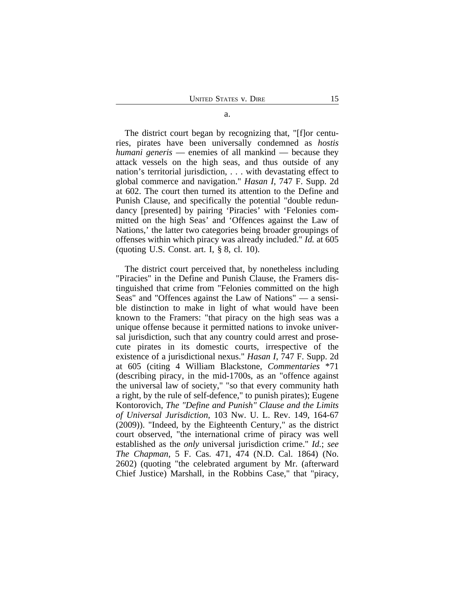The district court began by recognizing that, "[f]or centuries, pirates have been universally condemned as *hostis humani generis* — enemies of all mankind — because they attack vessels on the high seas, and thus outside of any nation's territorial jurisdiction, . . . with devastating effect to global commerce and navigation." *Hasan I*, 747 F. Supp. 2d at 602. The court then turned its attention to the Define and Punish Clause, and specifically the potential "double redundancy [presented] by pairing 'Piracies' with 'Felonies committed on the high Seas' and 'Offences against the Law of Nations,' the latter two categories being broader groupings of offenses within which piracy was already included." *Id.* at 605 (quoting U.S. Const. art. I,  $\S$  8, cl. 10).

The district court perceived that, by nonetheless including "Piracies" in the Define and Punish Clause, the Framers distinguished that crime from "Felonies committed on the high Seas" and "Offences against the Law of Nations" — a sensible distinction to make in light of what would have been known to the Framers: "that piracy on the high seas was a unique offense because it permitted nations to invoke universal jurisdiction, such that any country could arrest and prosecute pirates in its domestic courts, irrespective of the existence of a jurisdictional nexus." *Hasan I*, 747 F. Supp. 2d at 605 (citing 4 William Blackstone, *Commentaries* \*71 (describing piracy, in the mid-1700s, as an "offence against the universal law of society," "so that every community hath a right, by the rule of self-defence," to punish pirates); Eugene Kontorovich, *The "Define and Punish" Clause and the Limits of Universal Jurisdiction*, 103 Nw. U. L. Rev. 149, 164-67 (2009)). "Indeed, by the Eighteenth Century," as the district court observed, "the international crime of piracy was well established as the *only* universal jurisdiction crime." *Id.*; *see The Chapman*, 5 F. Cas. 471, 474 (N.D. Cal. 1864) (No. 2602) (quoting "the celebrated argument by Mr. (afterward Chief Justice) Marshall, in the Robbins Case," that "piracy,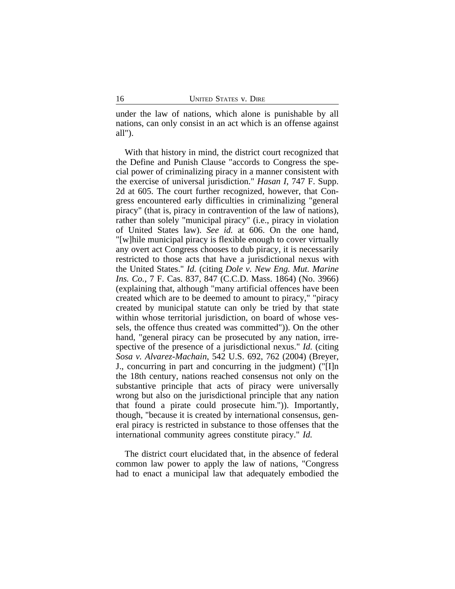under the law of nations, which alone is punishable by all nations, can only consist in an act which is an offense against all").

With that history in mind, the district court recognized that the Define and Punish Clause "accords to Congress the special power of criminalizing piracy in a manner consistent with the exercise of universal jurisdiction." *Hasan I*, 747 F. Supp. 2d at 605. The court further recognized, however, that Congress encountered early difficulties in criminalizing "general piracy" (that is, piracy in contravention of the law of nations), rather than solely "municipal piracy" (i.e., piracy in violation of United States law). *See id.* at 606. On the one hand, "[w]hile municipal piracy is flexible enough to cover virtually any overt act Congress chooses to dub piracy, it is necessarily restricted to those acts that have a jurisdictional nexus with the United States." *Id.* (citing *Dole v. New Eng. Mut. Marine Ins. Co.*, 7 F. Cas. 837, 847 (C.C.D. Mass. 1864) (No. 3966) (explaining that, although "many artificial offences have been created which are to be deemed to amount to piracy," "piracy created by municipal statute can only be tried by that state within whose territorial jurisdiction, on board of whose vessels, the offence thus created was committed")). On the other hand, "general piracy can be prosecuted by any nation, irrespective of the presence of a jurisdictional nexus." *Id.* (citing *Sosa v. Alvarez-Machain*, 542 U.S. 692, 762 (2004) (Breyer, J., concurring in part and concurring in the judgment) ("[I]n the 18th century, nations reached consensus not only on the substantive principle that acts of piracy were universally wrong but also on the jurisdictional principle that any nation that found a pirate could prosecute him.")). Importantly, though, "because it is created by international consensus, general piracy is restricted in substance to those offenses that the international community agrees constitute piracy." *Id.*

The district court elucidated that, in the absence of federal common law power to apply the law of nations, "Congress had to enact a municipal law that adequately embodied the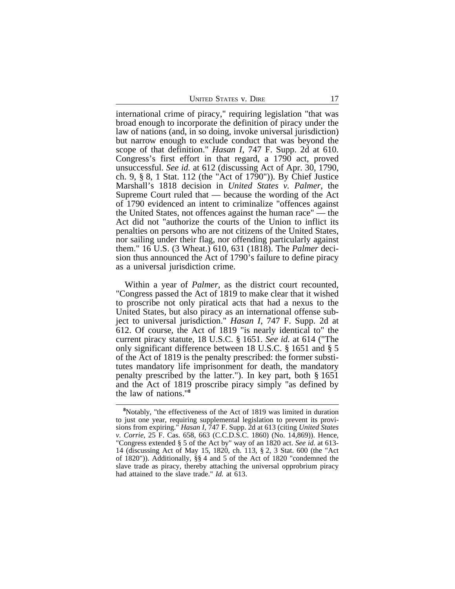UNITED STATES V. DIRE 17

international crime of piracy," requiring legislation "that was broad enough to incorporate the definition of piracy under the law of nations (and, in so doing, invoke universal jurisdiction) but narrow enough to exclude conduct that was beyond the scope of that definition." *Hasan I*, 747 F. Supp. 2d at 610. Congress's first effort in that regard, a 1790 act, proved unsuccessful. *See id.* at 612 (discussing Act of Apr. 30, 1790, ch. 9, § 8, 1 Stat. 112 (the "Act of 1790")). By Chief Justice Marshall's 1818 decision in *United States v. Palmer*, the Supreme Court ruled that — because the wording of the Act of 1790 evidenced an intent to criminalize "offences against the United States, not offences against the human race" — the Act did not "authorize the courts of the Union to inflict its penalties on persons who are not citizens of the United States, nor sailing under their flag, nor offending particularly against them." 16 U.S. (3 Wheat.) 610, 631 (1818). The *Palmer* decision thus announced the Act of 1790's failure to define piracy as a universal jurisdiction crime.

Within a year of *Palmer*, as the district court recounted, "Congress passed the Act of 1819 to make clear that it wished to proscribe not only piratical acts that had a nexus to the United States, but also piracy as an international offense subject to universal jurisdiction." *Hasan I*, 747 F. Supp. 2d at 612. Of course, the Act of 1819 "is nearly identical to" the current piracy statute, 18 U.S.C. § 1651. *See id.* at 614 ("The only significant difference between 18 U.S.C. § 1651 and § 5 of the Act of 1819 is the penalty prescribed: the former substitutes mandatory life imprisonment for death, the mandatory penalty prescribed by the latter."). In key part, both § 1651 and the Act of 1819 proscribe piracy simply "as defined by the law of nations."**<sup>8</sup>**

**<sup>8</sup>**Notably, "the effectiveness of the Act of 1819 was limited in duration to just one year, requiring supplemental legislation to prevent its provisions from expiring." *Hasan I*, 747 F. Supp. 2d at 613 (citing *United States v. Corrie*, 25 F. Cas. 658, 663 (C.C.D.S.C. 1860) (No. 14,869)). Hence, "Congress extended § 5 of the Act by" way of an 1820 act. *See id.* at 613- 14 (discussing Act of May 15, 1820, ch. 113, § 2, 3 Stat. 600 (the "Act of 1820")). Additionally, §§ 4 and 5 of the Act of 1820 "condemned the slave trade as piracy, thereby attaching the universal opprobrium piracy had attained to the slave trade." *Id.* at 613.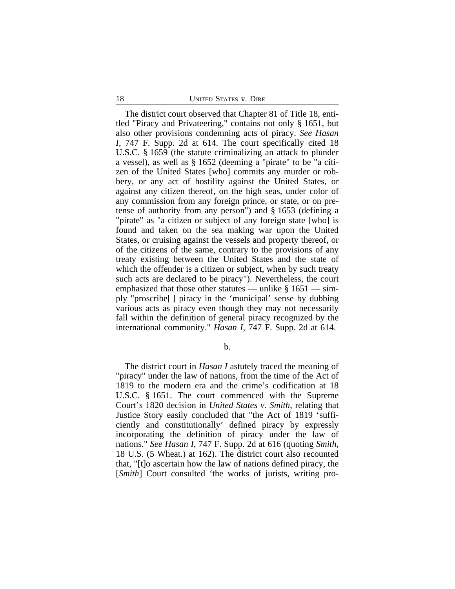The district court observed that Chapter 81 of Title 18, entitled "Piracy and Privateering," contains not only § 1651, but also other provisions condemning acts of piracy. *See Hasan I*, 747 F. Supp. 2d at 614. The court specifically cited 18 U.S.C. § 1659 (the statute criminalizing an attack to plunder a vessel), as well as § 1652 (deeming a "pirate" to be "a citizen of the United States [who] commits any murder or robbery, or any act of hostility against the United States, or against any citizen thereof, on the high seas, under color of any commission from any foreign prince, or state, or on pretense of authority from any person") and § 1653 (defining a "pirate" as "a citizen or subject of any foreign state [who] is found and taken on the sea making war upon the United States, or cruising against the vessels and property thereof, or of the citizens of the same, contrary to the provisions of any treaty existing between the United States and the state of which the offender is a citizen or subject, when by such treaty such acts are declared to be piracy"). Nevertheless, the court emphasized that those other statutes — unlike  $\S 1651$  — simply "proscribe[ ] piracy in the 'municipal' sense by dubbing various acts as piracy even though they may not necessarily fall within the definition of general piracy recognized by the international community." *Hasan I*, 747 F. Supp. 2d at 614.

b.

The district court in *Hasan I* astutely traced the meaning of "piracy" under the law of nations, from the time of the Act of 1819 to the modern era and the crime's codification at 18 U.S.C. § 1651. The court commenced with the Supreme Court's 1820 decision in *United States v. Smith*, relating that Justice Story easily concluded that "the Act of 1819 'sufficiently and constitutionally' defined piracy by expressly incorporating the definition of piracy under the law of nations." *See Hasan I*, 747 F. Supp. 2d at 616 (quoting *Smith*, 18 U.S. (5 Wheat.) at 162). The district court also recounted that, "[t]o ascertain how the law of nations defined piracy, the [*Smith*] Court consulted 'the works of jurists, writing pro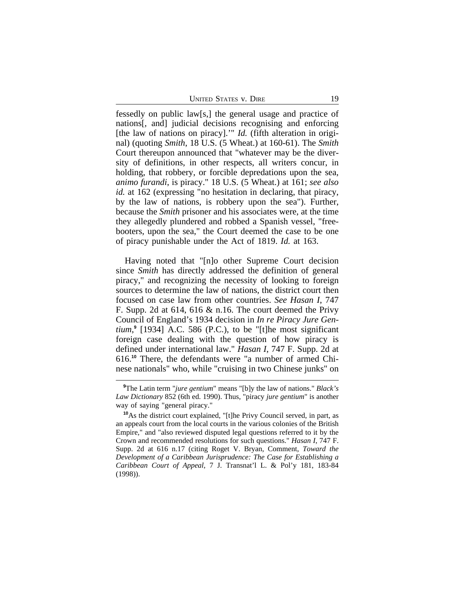UNITED STATES V. DIRE 19

fessedly on public law[s,] the general usage and practice of nations[, and] judicial decisions recognising and enforcing [the law of nations on piracy].'" *Id.* (fifth alteration in original) (quoting *Smith*, 18 U.S. (5 Wheat.) at 160-61). The *Smith* Court thereupon announced that "whatever may be the diversity of definitions, in other respects, all writers concur, in holding, that robbery, or forcible depredations upon the sea, *animo furandi*, is piracy." 18 U.S. (5 Wheat.) at 161; *see also id.* at 162 (expressing "no hesitation in declaring, that piracy, by the law of nations, is robbery upon the sea"). Further, because the *Smith* prisoner and his associates were, at the time they allegedly plundered and robbed a Spanish vessel, "freebooters, upon the sea," the Court deemed the case to be one of piracy punishable under the Act of 1819. *Id.* at 163.

Having noted that "[n]o other Supreme Court decision since *Smith* has directly addressed the definition of general piracy," and recognizing the necessity of looking to foreign sources to determine the law of nations, the district court then focused on case law from other countries. *See Hasan I*, 747 F. Supp. 2d at 614, 616 & n.16. The court deemed the Privy Council of England's 1934 decision in *In re Piracy Jure Gentium*, **9** [1934] A.C. 586 (P.C.), to be "[t]he most significant foreign case dealing with the question of how piracy is defined under international law." *Hasan I*, 747 F. Supp. 2d at 616.**10** There, the defendants were "a number of armed Chinese nationals" who, while "cruising in two Chinese junks" on

**<sup>9</sup>**The Latin term "*jure gentium*" means "[b]y the law of nations." *Black's Law Dictionary* 852 (6th ed. 1990). Thus, "piracy *jure gentium*" is another way of saying "general piracy."

**<sup>10</sup>**As the district court explained, "[t]he Privy Council served, in part, as an appeals court from the local courts in the various colonies of the British Empire," and "also reviewed disputed legal questions referred to it by the Crown and recommended resolutions for such questions." *Hasan I*, 747 F. Supp. 2d at 616 n.17 (citing Roget V. Bryan, Comment, *Toward the Development of a Caribbean Jurisprudence: The Case for Establishing a Caribbean Court of Appeal*, 7 J. Transnat'l L. & Pol'y 181, 183-84 (1998)).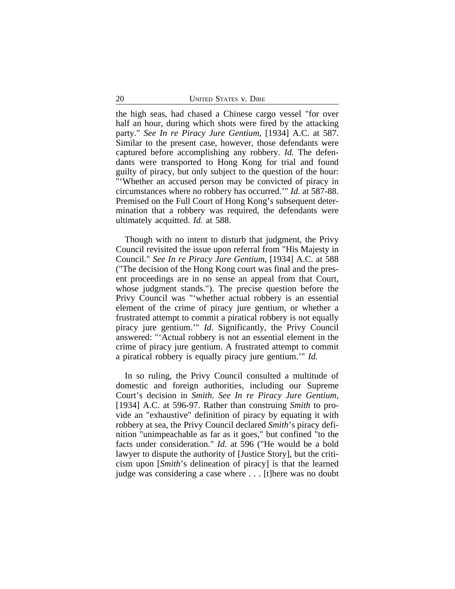the high seas, had chased a Chinese cargo vessel "for over half an hour, during which shots were fired by the attacking party." *See In re Piracy Jure Gentium*, [1934] A.C. at 587. Similar to the present case, however, those defendants were captured before accomplishing any robbery. *Id.* The defendants were transported to Hong Kong for trial and found guilty of piracy, but only subject to the question of the hour: "'Whether an accused person may be convicted of piracy in circumstances where no robbery has occurred.'" *Id.* at 587-88. Premised on the Full Court of Hong Kong's subsequent determination that a robbery was required, the defendants were ultimately acquitted. *Id.* at 588.

Though with no intent to disturb that judgment, the Privy Council revisited the issue upon referral from "His Majesty in Council." *See In re Piracy Jure Gentium*, [1934] A.C. at 588 ("The decision of the Hong Kong court was final and the present proceedings are in no sense an appeal from that Court, whose judgment stands."). The precise question before the Privy Council was "'whether actual robbery is an essential element of the crime of piracy jure gentium, or whether a frustrated attempt to commit a piratical robbery is not equally piracy jure gentium.'" *Id.* Significantly, the Privy Council answered: "'Actual robbery is not an essential element in the crime of piracy jure gentium. A frustrated attempt to commit a piratical robbery is equally piracy jure gentium.'" *Id.*

In so ruling, the Privy Council consulted a multitude of domestic and foreign authorities, including our Supreme Court's decision in *Smith*. *See In re Piracy Jure Gentium*, [1934] A.C. at 596-97. Rather than construing *Smith* to provide an "exhaustive" definition of piracy by equating it with robbery at sea, the Privy Council declared *Smith*'s piracy definition "unimpeachable as far as it goes," but confined "to the facts under consideration." *Id.* at 596 ("He would be a bold lawyer to dispute the authority of [Justice Story], but the criticism upon [*Smith*'s delineation of piracy] is that the learned judge was considering a case where . . . [t]here was no doubt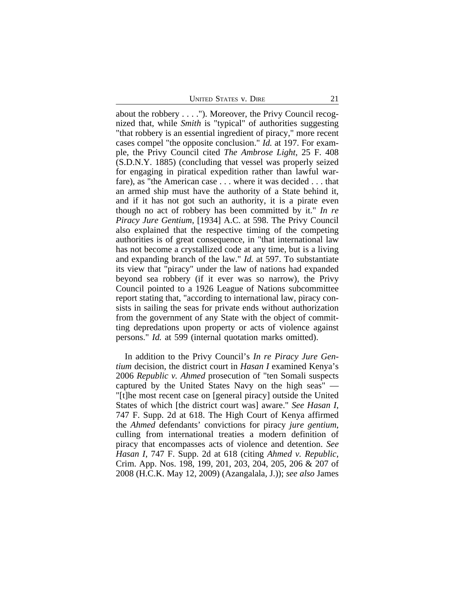UNITED STATES V. DIRE 21

about the robbery . . . ."). Moreover, the Privy Council recognized that, while *Smith* is "typical" of authorities suggesting "that robbery is an essential ingredient of piracy," more recent cases compel "the opposite conclusion." *Id.* at 197. For example, the Privy Council cited *The Ambrose Light*, 25 F. 408 (S.D.N.Y. 1885) (concluding that vessel was properly seized for engaging in piratical expedition rather than lawful warfare), as "the American case . . . where it was decided . . . that an armed ship must have the authority of a State behind it, and if it has not got such an authority, it is a pirate even though no act of robbery has been committed by it." *In re Piracy Jure Gentium*, [1934] A.C. at 598. The Privy Council also explained that the respective timing of the competing authorities is of great consequence, in "that international law has not become a crystallized code at any time, but is a living and expanding branch of the law." *Id.* at 597. To substantiate its view that "piracy" under the law of nations had expanded beyond sea robbery (if it ever was so narrow), the Privy Council pointed to a 1926 League of Nations subcommittee report stating that, "according to international law, piracy consists in sailing the seas for private ends without authorization from the government of any State with the object of committing depredations upon property or acts of violence against persons." *Id.* at 599 (internal quotation marks omitted).

In addition to the Privy Council's *In re Piracy Jure Gentium* decision, the district court in *Hasan I* examined Kenya's 2006 *Republic v. Ahmed* prosecution of "ten Somali suspects captured by the United States Navy on the high seas" — "[t]he most recent case on [general piracy] outside the United States of which [the district court was] aware." *See Hasan I*, 747 F. Supp. 2d at 618. The High Court of Kenya affirmed the *Ahmed* defendants' convictions for piracy *jure gentium*, culling from international treaties a modern definition of piracy that encompasses acts of violence and detention. *See Hasan I*, 747 F. Supp. 2d at 618 (citing *Ahmed v. Republic*, Crim. App. Nos. 198, 199, 201, 203, 204, 205, 206 & 207 of 2008 (H.C.K. May 12, 2009) (Azangalala, J.)); *see also* James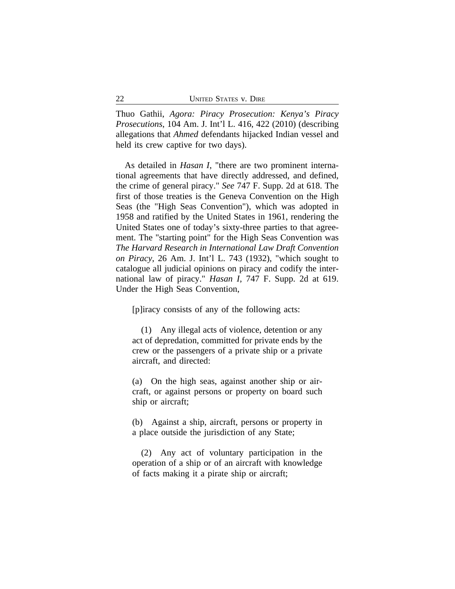Thuo Gathii, *Agora: Piracy Prosecution: Kenya's Piracy Prosecutions*, 104 Am. J. Int'l L. 416, 422 (2010) (describing allegations that *Ahmed* defendants hijacked Indian vessel and held its crew captive for two days).

As detailed in *Hasan I*, "there are two prominent international agreements that have directly addressed, and defined, the crime of general piracy." *See* 747 F. Supp. 2d at 618. The first of those treaties is the Geneva Convention on the High Seas (the "High Seas Convention"), which was adopted in 1958 and ratified by the United States in 1961, rendering the United States one of today's sixty-three parties to that agreement. The "starting point" for the High Seas Convention was *The Harvard Research in International Law Draft Convention on Piracy*, 26 Am. J. Int'l L. 743 (1932), "which sought to catalogue all judicial opinions on piracy and codify the international law of piracy." *Hasan I*, 747 F. Supp. 2d at 619. Under the High Seas Convention,

[p]iracy consists of any of the following acts:

(1) Any illegal acts of violence, detention or any act of depredation, committed for private ends by the crew or the passengers of a private ship or a private aircraft, and directed:

(a) On the high seas, against another ship or aircraft, or against persons or property on board such ship or aircraft;

(b) Against a ship, aircraft, persons or property in a place outside the jurisdiction of any State;

(2) Any act of voluntary participation in the operation of a ship or of an aircraft with knowledge of facts making it a pirate ship or aircraft;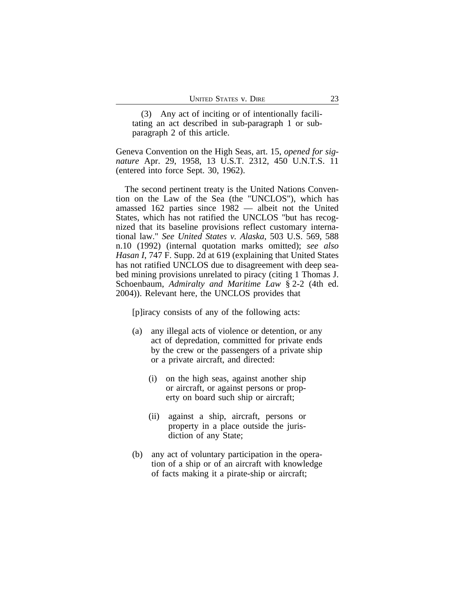(3) Any act of inciting or of intentionally facilitating an act described in sub-paragraph 1 or subparagraph 2 of this article.

Geneva Convention on the High Seas, art. 15, *opened for signature* Apr. 29, 1958, 13 U.S.T. 2312, 450 U.N.T.S. 11 (entered into force Sept. 30, 1962).

The second pertinent treaty is the United Nations Convention on the Law of the Sea (the "UNCLOS"), which has amassed 162 parties since 1982 — albeit not the United States, which has not ratified the UNCLOS "but has recognized that its baseline provisions reflect customary international law." *See United States v. Alaska*, 503 U.S. 569, 588 n.10 (1992) (internal quotation marks omitted); *see also Hasan I*, 747 F. Supp. 2d at 619 (explaining that United States has not ratified UNCLOS due to disagreement with deep seabed mining provisions unrelated to piracy (citing 1 Thomas J. Schoenbaum, *Admiralty and Maritime Law* § 2-2 (4th ed. 2004)). Relevant here, the UNCLOS provides that

[p]iracy consists of any of the following acts:

- (a) any illegal acts of violence or detention, or any act of depredation, committed for private ends by the crew or the passengers of a private ship or a private aircraft, and directed:
	- (i) on the high seas, against another ship or aircraft, or against persons or property on board such ship or aircraft;
	- (ii) against a ship, aircraft, persons or property in a place outside the jurisdiction of any State;
- (b) any act of voluntary participation in the operation of a ship or of an aircraft with knowledge of facts making it a pirate-ship or aircraft;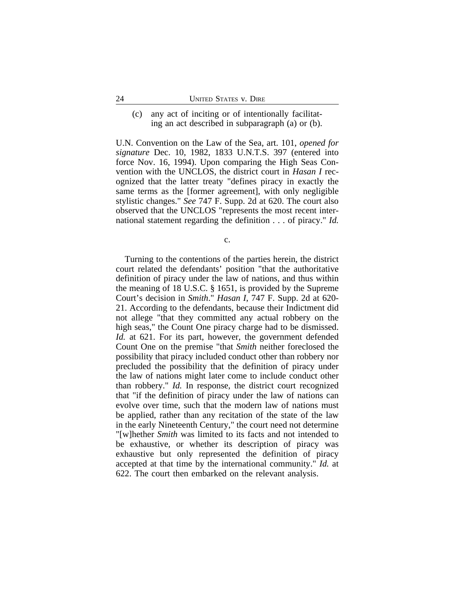# (c) any act of inciting or of intentionally facilitating an act described in subparagraph (a) or (b).

U.N. Convention on the Law of the Sea, art. 101, *opened for signature* Dec. 10, 1982, 1833 U.N.T.S. 397 (entered into force Nov. 16, 1994). Upon comparing the High Seas Convention with the UNCLOS, the district court in *Hasan I* recognized that the latter treaty "defines piracy in exactly the same terms as the [former agreement], with only negligible stylistic changes." *See* 747 F. Supp. 2d at 620. The court also observed that the UNCLOS "represents the most recent international statement regarding the definition . . . of piracy." *Id.*

c.

Turning to the contentions of the parties herein, the district court related the defendants' position "that the authoritative definition of piracy under the law of nations, and thus within the meaning of 18 U.S.C. § 1651, is provided by the Supreme Court's decision in *Smith*." *Hasan I*, 747 F. Supp. 2d at 620- 21. According to the defendants, because their Indictment did not allege "that they committed any actual robbery on the high seas," the Count One piracy charge had to be dismissed. *Id.* at 621. For its part, however, the government defended Count One on the premise "that *Smith* neither foreclosed the possibility that piracy included conduct other than robbery nor precluded the possibility that the definition of piracy under the law of nations might later come to include conduct other than robbery." *Id.* In response, the district court recognized that "if the definition of piracy under the law of nations can evolve over time, such that the modern law of nations must be applied, rather than any recitation of the state of the law in the early Nineteenth Century," the court need not determine "[w]hether *Smith* was limited to its facts and not intended to be exhaustive, or whether its description of piracy was exhaustive but only represented the definition of piracy accepted at that time by the international community." *Id.* at 622. The court then embarked on the relevant analysis.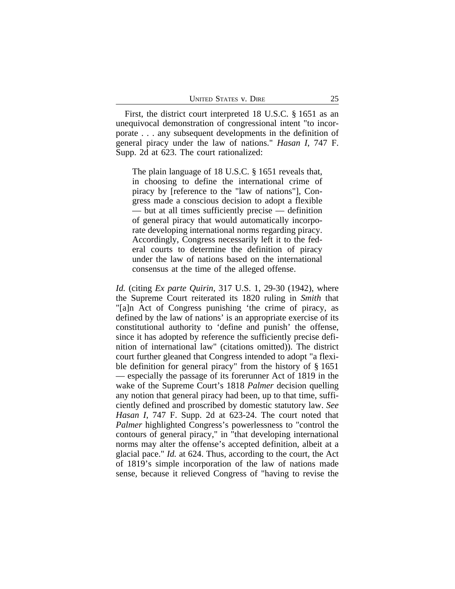First, the district court interpreted 18 U.S.C. § 1651 as an unequivocal demonstration of congressional intent "to incorporate . . . any subsequent developments in the definition of general piracy under the law of nations." *Hasan I*, 747 F. Supp. 2d at 623. The court rationalized:

The plain language of 18 U.S.C. § 1651 reveals that, in choosing to define the international crime of piracy by [reference to the "law of nations"], Congress made a conscious decision to adopt a flexible — but at all times sufficiently precise — definition of general piracy that would automatically incorporate developing international norms regarding piracy. Accordingly, Congress necessarily left it to the federal courts to determine the definition of piracy under the law of nations based on the international consensus at the time of the alleged offense.

*Id.* (citing *Ex parte Quirin*, 317 U.S. 1, 29-30 (1942), where the Supreme Court reiterated its 1820 ruling in *Smith* that "[a]n Act of Congress punishing 'the crime of piracy, as defined by the law of nations' is an appropriate exercise of its constitutional authority to 'define and punish' the offense, since it has adopted by reference the sufficiently precise definition of international law" (citations omitted)). The district court further gleaned that Congress intended to adopt "a flexible definition for general piracy" from the history of § 1651 — especially the passage of its forerunner Act of 1819 in the wake of the Supreme Court's 1818 *Palmer* decision quelling any notion that general piracy had been, up to that time, sufficiently defined and proscribed by domestic statutory law. *See Hasan I*, 747 F. Supp. 2d at 623-24. The court noted that *Palmer* highlighted Congress's powerlessness to "control the contours of general piracy," in "that developing international norms may alter the offense's accepted definition, albeit at a glacial pace." *Id.* at 624. Thus, according to the court, the Act of 1819's simple incorporation of the law of nations made sense, because it relieved Congress of "having to revise the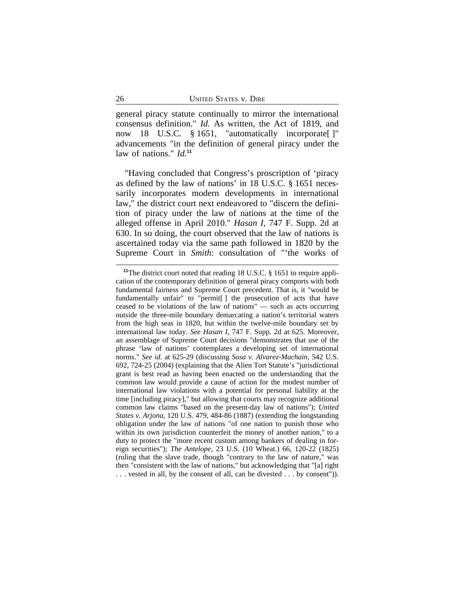general piracy statute continually to mirror the international consensus definition." *Id.* As written, the Act of 1819, and now 18 U.S.C. § 1651, "automatically incorporate[ ]" advancements "in the definition of general piracy under the law of nations." *Id.***<sup>11</sup>**

"Having concluded that Congress's proscription of 'piracy as defined by the law of nations' in 18 U.S.C. § 1651 necessarily incorporates modern developments in international law," the district court next endeavored to "discern the definition of piracy under the law of nations at the time of the alleged offense in April 2010." *Hasan I*, 747 F. Supp. 2d at 630. In so doing, the court observed that the law of nations is ascertained today via the same path followed in 1820 by the Supreme Court in *Smith*: consultation of "'the works of

**<sup>11</sup>**The district court noted that reading 18 U.S.C. § 1651 to require application of the contemporary definition of general piracy comports with both fundamental fairness and Supreme Court precedent. That is, it "would be fundamentally unfair" to "permit[ ] the prosecution of acts that have ceased to be violations of the law of nations" — such as acts occurring outside the three-mile boundary demarcating a nation's territorial waters from the high seas in 1820, but within the twelve-mile boundary set by international law today. *See Hasan I*, 747 F. Supp. 2d at 625. Moreover, an assemblage of Supreme Court decisions "demonstrates that use of the phrase 'law of nations' contemplates a developing set of international norms." *See id.* at 625-29 (discussing *Sosa v. Alvarez-Machain*, 542 U.S. 692, 724-25 (2004) (explaining that the Alien Tort Statute's "jurisdictional grant is best read as having been enacted on the understanding that the common law would provide a cause of action for the modest number of international law violations with a potential for personal liability at the time [including piracy]," but allowing that courts may recognize additional common law claims "based on the present-day law of nations"); *United States v. Arjona*, 120 U.S. 479, 484-86 (1887) (extending the longstanding obligation under the law of nations "of one nation to punish those who within its own jurisdiction counterfeit the money of another nation," to a duty to protect the "more recent custom among bankers of dealing in foreign securities"); *The Antelope*, 23 U.S. (10 Wheat.) 66, 120-22 (1825) (ruling that the slave trade, though "contrary to the law of nature," was then "consistent with the law of nations," but acknowledging that "[a] right . . . vested in all, by the consent of all, can be divested . . . by consent")).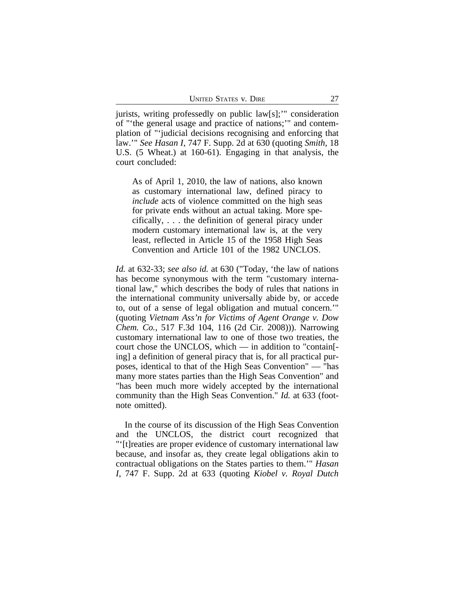jurists, writing professedly on public law[s];'" consideration of "'the general usage and practice of nations;'" and contemplation of "'judicial decisions recognising and enforcing that law.'" *See Hasan I*, 747 F. Supp. 2d at 630 (quoting *Smith*, 18 U.S. (5 Wheat.) at 160-61). Engaging in that analysis, the court concluded:

As of April 1, 2010, the law of nations, also known as customary international law, defined piracy to *include* acts of violence committed on the high seas for private ends without an actual taking. More specifically, . . . the definition of general piracy under modern customary international law is, at the very least, reflected in Article 15 of the 1958 High Seas Convention and Article 101 of the 1982 UNCLOS.

*Id.* at 632-33; *see also id.* at 630 ("Today, 'the law of nations has become synonymous with the term "customary international law," which describes the body of rules that nations in the international community universally abide by, or accede to, out of a sense of legal obligation and mutual concern.'" (quoting *Vietnam Ass'n for Victims of Agent Orange v. Dow Chem. Co.*, 517 F.3d 104, 116 (2d Cir. 2008))). Narrowing customary international law to one of those two treaties, the court chose the UNCLOS, which — in addition to "contain[ ing] a definition of general piracy that is, for all practical purposes, identical to that of the High Seas Convention" — "has many more states parties than the High Seas Convention" and "has been much more widely accepted by the international community than the High Seas Convention." *Id.* at 633 (footnote omitted).

In the course of its discussion of the High Seas Convention and the UNCLOS, the district court recognized that "'[t]reaties are proper evidence of customary international law because, and insofar as, they create legal obligations akin to contractual obligations on the States parties to them.'" *Hasan I*, 747 F. Supp. 2d at 633 (quoting *Kiobel v. Royal Dutch*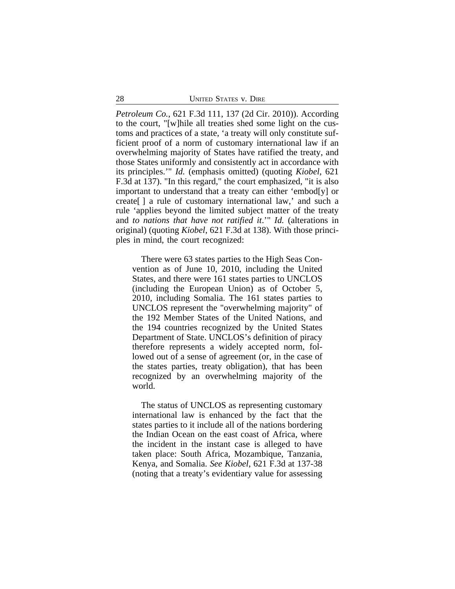*Petroleum Co.*, 621 F.3d 111, 137 (2d Cir. 2010)). According to the court, "[w]hile all treaties shed some light on the customs and practices of a state, 'a treaty will only constitute sufficient proof of a norm of customary international law if an overwhelming majority of States have ratified the treaty, and those States uniformly and consistently act in accordance with its principles.'" *Id.* (emphasis omitted) (quoting *Kiobel*, 621 F.3d at 137). "In this regard," the court emphasized, "it is also important to understand that a treaty can either 'embod[y] or create[ ] a rule of customary international law,' and such a rule 'applies beyond the limited subject matter of the treaty and *to nations that have not ratified it*.'" *Id.* (alterations in original) (quoting *Kiobel*, 621 F.3d at 138). With those principles in mind, the court recognized:

There were 63 states parties to the High Seas Convention as of June 10, 2010, including the United States, and there were 161 states parties to UNCLOS (including the European Union) as of October 5, 2010, including Somalia. The 161 states parties to UNCLOS represent the "overwhelming majority" of the 192 Member States of the United Nations, and the 194 countries recognized by the United States Department of State. UNCLOS's definition of piracy therefore represents a widely accepted norm, followed out of a sense of agreement (or, in the case of the states parties, treaty obligation), that has been recognized by an overwhelming majority of the world.

The status of UNCLOS as representing customary international law is enhanced by the fact that the states parties to it include all of the nations bordering the Indian Ocean on the east coast of Africa, where the incident in the instant case is alleged to have taken place: South Africa, Mozambique, Tanzania, Kenya, and Somalia. *See Kiobel*, 621 F.3d at 137-38 (noting that a treaty's evidentiary value for assessing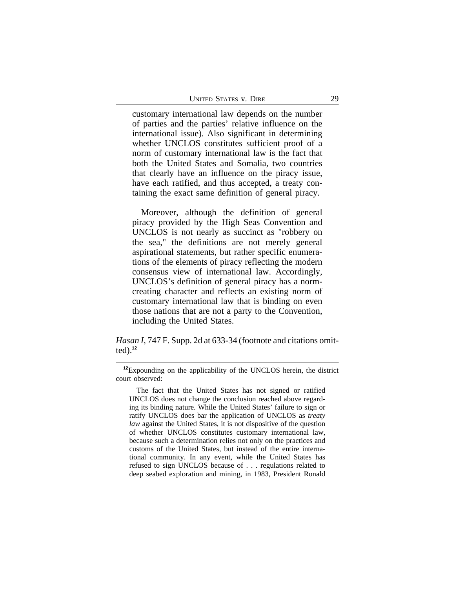| <b>UNITED STATES V. DIRE</b> |  |
|------------------------------|--|
|                              |  |

customary international law depends on the number of parties and the parties' relative influence on the international issue). Also significant in determining whether UNCLOS constitutes sufficient proof of a norm of customary international law is the fact that both the United States and Somalia, two countries that clearly have an influence on the piracy issue, have each ratified, and thus accepted, a treaty containing the exact same definition of general piracy.

Moreover, although the definition of general piracy provided by the High Seas Convention and UNCLOS is not nearly as succinct as "robbery on the sea," the definitions are not merely general aspirational statements, but rather specific enumerations of the elements of piracy reflecting the modern consensus view of international law. Accordingly, UNCLOS's definition of general piracy has a normcreating character and reflects an existing norm of customary international law that is binding on even those nations that are not a party to the Convention, including the United States.

*Hasan I*, 747 F. Supp. 2d at 633-34 (footnote and citations omitted).**<sup>12</sup>**

The fact that the United States has not signed or ratified UNCLOS does not change the conclusion reached above regarding its binding nature. While the United States' failure to sign or ratify UNCLOS does bar the application of UNCLOS as *treaty law* against the United States, it is not dispositive of the question of whether UNCLOS constitutes customary international law, because such a determination relies not only on the practices and customs of the United States, but instead of the entire international community. In any event, while the United States has refused to sign UNCLOS because of . . . regulations related to deep seabed exploration and mining, in 1983, President Ronald

**<sup>12</sup>**Expounding on the applicability of the UNCLOS herein, the district court observed: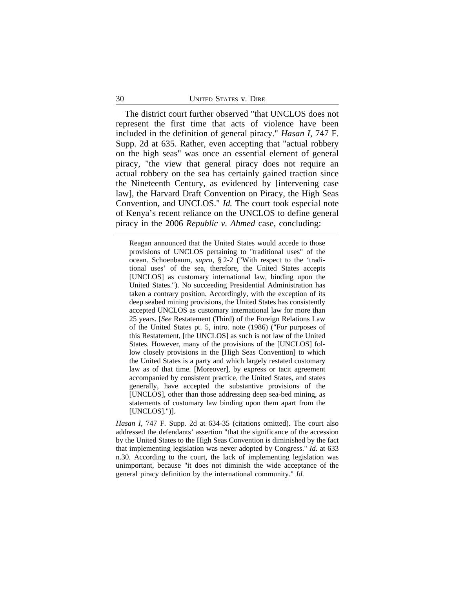#### 30 UNITED STATES v. DIRE

The district court further observed "that UNCLOS does not represent the first time that acts of violence have been included in the definition of general piracy." *Hasan I*, 747 F. Supp. 2d at 635. Rather, even accepting that "actual robbery on the high seas" was once an essential element of general piracy, "the view that general piracy does not require an actual robbery on the sea has certainly gained traction since the Nineteenth Century, as evidenced by [intervening case law], the Harvard Draft Convention on Piracy, the High Seas Convention, and UNCLOS." *Id.* The court took especial note of Kenya's recent reliance on the UNCLOS to define general piracy in the 2006 *Republic v. Ahmed* case, concluding:

Reagan announced that the United States would accede to those provisions of UNCLOS pertaining to "traditional uses" of the ocean. Schoenbaum, *supra*, § 2-2 ("With respect to the 'traditional uses' of the sea, therefore, the United States accepts [UNCLOS] as customary international law, binding upon the United States."). No succeeding Presidential Administration has taken a contrary position. Accordingly, with the exception of its deep seabed mining provisions, the United States has consistently accepted UNCLOS as customary international law for more than 25 years. [*See* Restatement (Third) of the Foreign Relations Law of the United States pt. 5, intro. note (1986) ("For purposes of this Restatement, [the UNCLOS] as such is not law of the United States. However, many of the provisions of the [UNCLOS] follow closely provisions in the [High Seas Convention] to which the United States is a party and which largely restated customary law as of that time. [Moreover], by express or tacit agreement accompanied by consistent practice, the United States, and states generally, have accepted the substantive provisions of the [UNCLOS], other than those addressing deep sea-bed mining, as statements of customary law binding upon them apart from the [UNCLOS].")].

*Hasan I*, 747 F. Supp. 2d at 634-35 (citations omitted). The court also addressed the defendants' assertion "that the significance of the accession by the United States to the High Seas Convention is diminished by the fact that implementing legislation was never adopted by Congress." *Id.* at 633 n.30. According to the court, the lack of implementing legislation was unimportant, because "it does not diminish the wide acceptance of the general piracy definition by the international community." *Id.*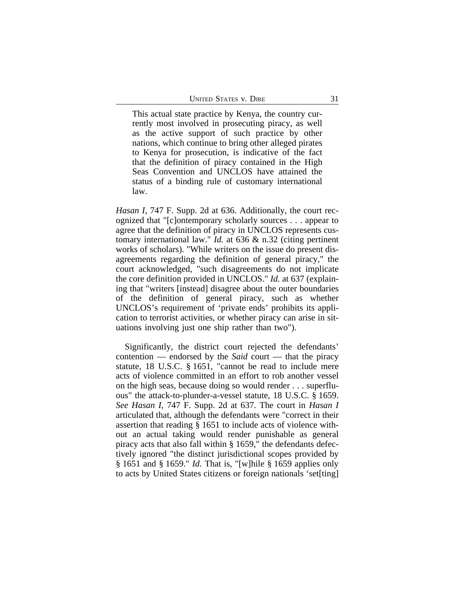This actual state practice by Kenya, the country currently most involved in prosecuting piracy, as well as the active support of such practice by other nations, which continue to bring other alleged pirates to Kenya for prosecution, is indicative of the fact that the definition of piracy contained in the High Seas Convention and UNCLOS have attained the status of a binding rule of customary international law.

*Hasan I*, 747 F. Supp. 2d at 636. Additionally, the court recognized that "[c]ontemporary scholarly sources . . . appear to agree that the definition of piracy in UNCLOS represents customary international law." *Id.* at 636 & n.32 (citing pertinent works of scholars). "While writers on the issue do present disagreements regarding the definition of general piracy," the court acknowledged, "such disagreements do not implicate the core definition provided in UNCLOS." *Id.* at 637 (explaining that "writers [instead] disagree about the outer boundaries of the definition of general piracy, such as whether UNCLOS's requirement of 'private ends' prohibits its application to terrorist activities, or whether piracy can arise in situations involving just one ship rather than two").

Significantly, the district court rejected the defendants' contention — endorsed by the *Said* court — that the piracy statute, 18 U.S.C. § 1651, "cannot be read to include mere acts of violence committed in an effort to rob another vessel on the high seas, because doing so would render . . . superfluous" the attack-to-plunder-a-vessel statute, 18 U.S.C. § 1659. *See Hasan I*, 747 F. Supp. 2d at 637. The court in *Hasan I* articulated that, although the defendants were "correct in their assertion that reading § 1651 to include acts of violence without an actual taking would render punishable as general piracy acts that also fall within § 1659," the defendants defectively ignored "the distinct jurisdictional scopes provided by § 1651 and § 1659." *Id.* That is, "[w]hile § 1659 applies only to acts by United States citizens or foreign nationals 'set[ting]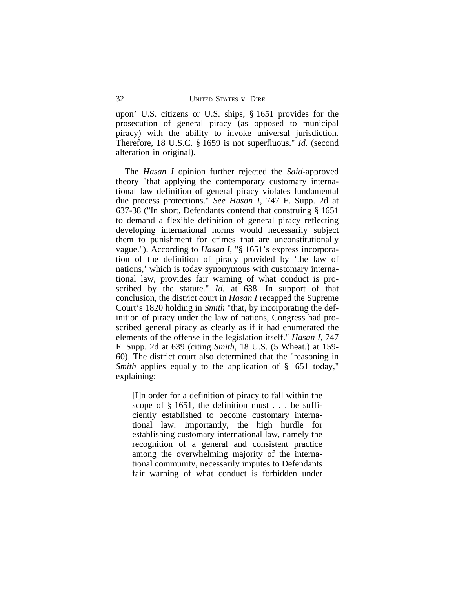upon' U.S. citizens or U.S. ships, § 1651 provides for the prosecution of general piracy (as opposed to municipal piracy) with the ability to invoke universal jurisdiction. Therefore, 18 U.S.C. § 1659 is not superfluous." *Id.* (second alteration in original).

The *Hasan I* opinion further rejected the *Said*-approved theory "that applying the contemporary customary international law definition of general piracy violates fundamental due process protections." *See Hasan I*, 747 F. Supp. 2d at 637-38 ("In short, Defendants contend that construing § 1651 to demand a flexible definition of general piracy reflecting developing international norms would necessarily subject them to punishment for crimes that are unconstitutionally vague."). According to *Hasan I*, "§ 1651's express incorporation of the definition of piracy provided by 'the law of nations,' which is today synonymous with customary international law, provides fair warning of what conduct is proscribed by the statute." *Id.* at 638. In support of that conclusion, the district court in *Hasan I* recapped the Supreme Court's 1820 holding in *Smith* "that, by incorporating the definition of piracy under the law of nations, Congress had proscribed general piracy as clearly as if it had enumerated the elements of the offense in the legislation itself." *Hasan I*, 747 F. Supp. 2d at 639 (citing *Smith*, 18 U.S. (5 Wheat.) at 159- 60). The district court also determined that the "reasoning in *Smith* applies equally to the application of § 1651 today," explaining:

[I]n order for a definition of piracy to fall within the scope of  $\S$  1651, the definition must . . . be sufficiently established to become customary international law. Importantly, the high hurdle for establishing customary international law, namely the recognition of a general and consistent practice among the overwhelming majority of the international community, necessarily imputes to Defendants fair warning of what conduct is forbidden under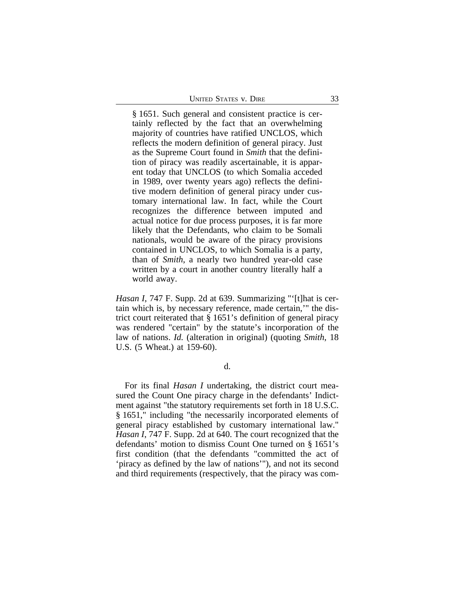| <b>UNITED STATES V. DIRE</b> |  |
|------------------------------|--|
|------------------------------|--|

§ 1651. Such general and consistent practice is certainly reflected by the fact that an overwhelming majority of countries have ratified UNCLOS, which reflects the modern definition of general piracy. Just as the Supreme Court found in *Smith* that the definition of piracy was readily ascertainable, it is apparent today that UNCLOS (to which Somalia acceded in 1989, over twenty years ago) reflects the definitive modern definition of general piracy under customary international law. In fact, while the Court recognizes the difference between imputed and actual notice for due process purposes, it is far more likely that the Defendants, who claim to be Somali nationals, would be aware of the piracy provisions contained in UNCLOS, to which Somalia is a party, than of *Smith*, a nearly two hundred year-old case written by a court in another country literally half a world away.

*Hasan I*, 747 F. Supp. 2d at 639. Summarizing "'[t]hat is certain which is, by necessary reference, made certain,'" the district court reiterated that § 1651's definition of general piracy was rendered "certain" by the statute's incorporation of the law of nations. *Id.* (alteration in original) (quoting *Smith*, 18 U.S. (5 Wheat.) at 159-60).

d.

For its final *Hasan I* undertaking, the district court measured the Count One piracy charge in the defendants' Indictment against "the statutory requirements set forth in 18 U.S.C. § 1651," including "the necessarily incorporated elements of general piracy established by customary international law." *Hasan I*, 747 F. Supp. 2d at 640. The court recognized that the defendants' motion to dismiss Count One turned on § 1651's first condition (that the defendants "committed the act of 'piracy as defined by the law of nations'"), and not its second and third requirements (respectively, that the piracy was com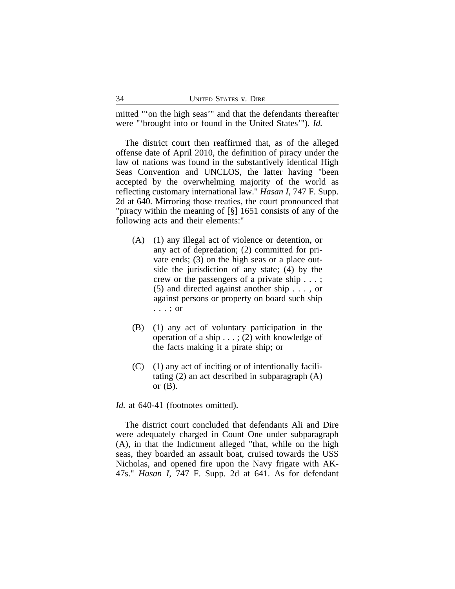mitted "'on the high seas'" and that the defendants thereafter were "'brought into or found in the United States'"). *Id.*

The district court then reaffirmed that, as of the alleged offense date of April 2010, the definition of piracy under the law of nations was found in the substantively identical High Seas Convention and UNCLOS, the latter having "been accepted by the overwhelming majority of the world as reflecting customary international law." *Hasan I*, 747 F. Supp. 2d at 640. Mirroring those treaties, the court pronounced that "piracy within the meaning of [§] 1651 consists of any of the following acts and their elements:"

- (A) (1) any illegal act of violence or detention, or any act of depredation; (2) committed for private ends; (3) on the high seas or a place outside the jurisdiction of any state; (4) by the crew or the passengers of a private ship . . . ; (5) and directed against another ship . . . , or against persons or property on board such ship . . . ; or
- (B) (1) any act of voluntary participation in the operation of a ship . . . ; (2) with knowledge of the facts making it a pirate ship; or
- $(C)$  (1) any act of inciting or of intentionally facilitating (2) an act described in subparagraph (A) or  $(B)$ .

Id. at 640-41 (footnotes omitted).

The district court concluded that defendants Ali and Dire were adequately charged in Count One under subparagraph (A), in that the Indictment alleged "that, while on the high seas, they boarded an assault boat, cruised towards the USS Nicholas, and opened fire upon the Navy frigate with AK-47s." *Hasan I*, 747 F. Supp. 2d at 641. As for defendant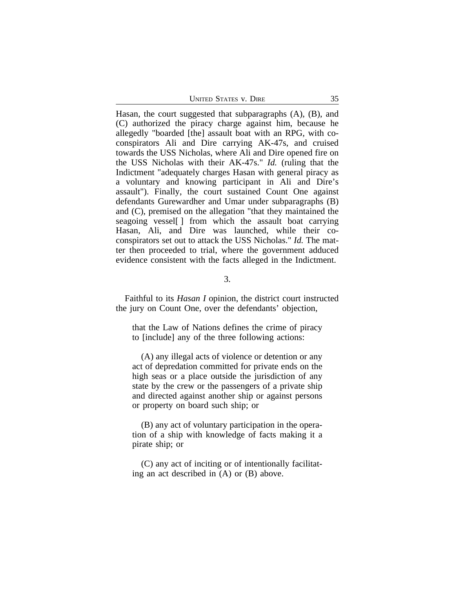UNITED STATES V. DIRE 35

Hasan, the court suggested that subparagraphs (A), (B), and (C) authorized the piracy charge against him, because he allegedly "boarded [the] assault boat with an RPG, with coconspirators Ali and Dire carrying AK-47s, and cruised towards the USS Nicholas, where Ali and Dire opened fire on the USS Nicholas with their AK-47s." *Id.* (ruling that the Indictment "adequately charges Hasan with general piracy as a voluntary and knowing participant in Ali and Dire's assault"). Finally, the court sustained Count One against defendants Gurewardher and Umar under subparagraphs (B) and (C), premised on the allegation "that they maintained the seagoing vessel[ ] from which the assault boat carrying Hasan, Ali, and Dire was launched, while their coconspirators set out to attack the USS Nicholas." *Id.* The matter then proceeded to trial, where the government adduced evidence consistent with the facts alleged in the Indictment.

3.

Faithful to its *Hasan I* opinion, the district court instructed the jury on Count One, over the defendants' objection,

that the Law of Nations defines the crime of piracy to [include] any of the three following actions:

(A) any illegal acts of violence or detention or any act of depredation committed for private ends on the high seas or a place outside the jurisdiction of any state by the crew or the passengers of a private ship and directed against another ship or against persons or property on board such ship; or

(B) any act of voluntary participation in the operation of a ship with knowledge of facts making it a pirate ship; or

(C) any act of inciting or of intentionally facilitating an act described in (A) or (B) above.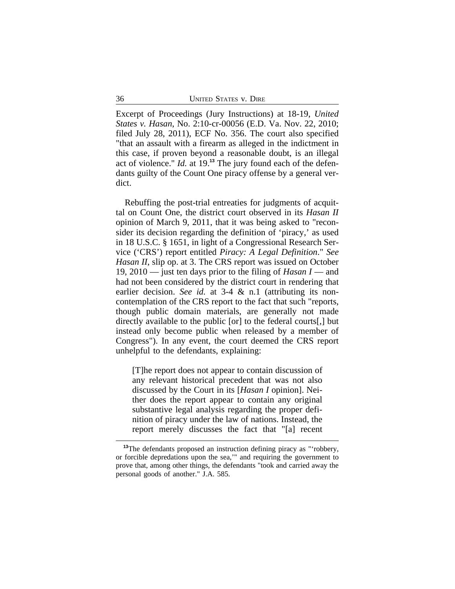Excerpt of Proceedings (Jury Instructions) at 18-19, *United States v. Hasan*, No. 2:10-cr-00056 (E.D. Va. Nov. 22, 2010; filed July 28, 2011), ECF No. 356. The court also specified "that an assault with a firearm as alleged in the indictment in this case, if proven beyond a reasonable doubt, is an illegal act of violence." *Id.* at 19.**13** The jury found each of the defendants guilty of the Count One piracy offense by a general verdict.

Rebuffing the post-trial entreaties for judgments of acquittal on Count One, the district court observed in its *Hasan II* opinion of March 9, 2011, that it was being asked to "reconsider its decision regarding the definition of 'piracy,' as used in 18 U.S.C. § 1651, in light of a Congressional Research Service ('CRS') report entitled *Piracy: A Legal Definition*." *See Hasan II*, slip op. at 3. The CRS report was issued on October 19, 2010 — just ten days prior to the filing of *Hasan I* — and had not been considered by the district court in rendering that earlier decision. *See id.* at 3-4 & n.1 (attributing its noncontemplation of the CRS report to the fact that such "reports, though public domain materials, are generally not made directly available to the public [or] to the federal courts[,] but instead only become public when released by a member of Congress"). In any event, the court deemed the CRS report unhelpful to the defendants, explaining:

[T]he report does not appear to contain discussion of any relevant historical precedent that was not also discussed by the Court in its [*Hasan I* opinion]. Neither does the report appear to contain any original substantive legal analysis regarding the proper definition of piracy under the law of nations. Instead, the report merely discusses the fact that "[a] recent

<sup>&</sup>lt;sup>13</sup>The defendants proposed an instruction defining piracy as "'robbery, or forcible depredations upon the sea,'" and requiring the government to prove that, among other things, the defendants "took and carried away the personal goods of another." J.A. 585.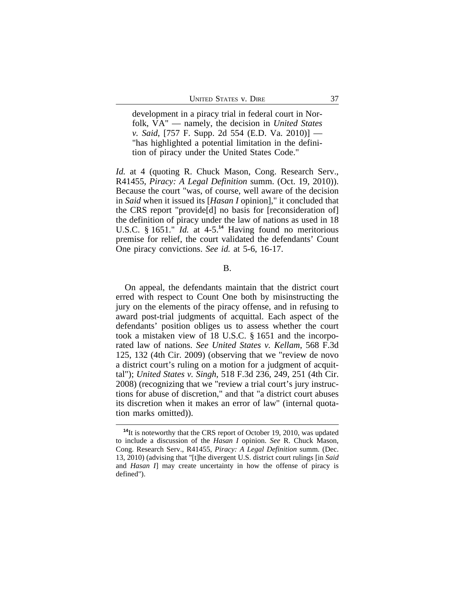development in a piracy trial in federal court in Norfolk, VA" — namely, the decision in *United States v. Said*, [757 F. Supp. 2d 554 (E.D. Va. 2010)] — "has highlighted a potential limitation in the definition of piracy under the United States Code."

*Id.* at 4 (quoting R. Chuck Mason, Cong. Research Serv., R41455, *Piracy: A Legal Definition* summ. (Oct. 19, 2010)). Because the court "was, of course, well aware of the decision in *Said* when it issued its [*Hasan I* opinion]," it concluded that the CRS report "provide[d] no basis for [reconsideration of] the definition of piracy under the law of nations as used in 18 U.S.C. § 1651." *Id.* at 4-5.**<sup>14</sup>** Having found no meritorious premise for relief, the court validated the defendants' Count One piracy convictions. *See id.* at 5-6, 16-17.

B.

On appeal, the defendants maintain that the district court erred with respect to Count One both by misinstructing the jury on the elements of the piracy offense, and in refusing to award post-trial judgments of acquittal. Each aspect of the defendants' position obliges us to assess whether the court took a mistaken view of 18 U.S.C. § 1651 and the incorporated law of nations. *See United States v. Kellam*, 568 F.3d 125, 132 (4th Cir. 2009) (observing that we "review de novo a district court's ruling on a motion for a judgment of acquittal"); *United States v. Singh*, 518 F.3d 236, 249, 251 (4th Cir. 2008) (recognizing that we "review a trial court's jury instructions for abuse of discretion," and that "a district court abuses its discretion when it makes an error of law" (internal quotation marks omitted)).

**<sup>14</sup>**It is noteworthy that the CRS report of October 19, 2010, was updated to include a discussion of the *Hasan I* opinion. *See* R. Chuck Mason, Cong. Research Serv., R41455, *Piracy: A Legal Definition* summ. (Dec. 13, 2010) (advising that "[t]he divergent U.S. district court rulings [in *Said* and *Hasan I*] may create uncertainty in how the offense of piracy is defined").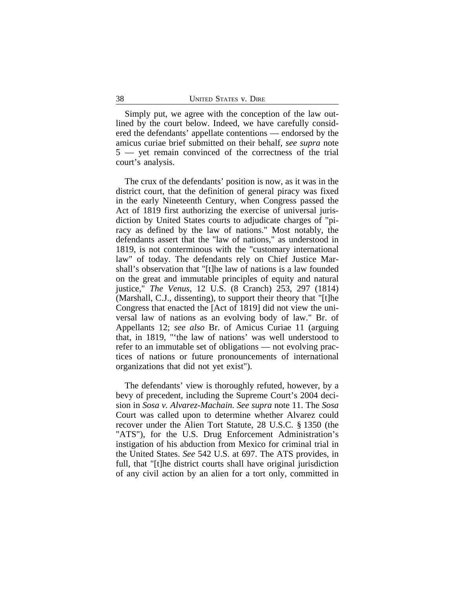Simply put, we agree with the conception of the law outlined by the court below. Indeed, we have carefully considered the defendants' appellate contentions — endorsed by the amicus curiae brief submitted on their behalf, *see supra* note 5 — yet remain convinced of the correctness of the trial court's analysis.

The crux of the defendants' position is now, as it was in the district court, that the definition of general piracy was fixed in the early Nineteenth Century, when Congress passed the Act of 1819 first authorizing the exercise of universal jurisdiction by United States courts to adjudicate charges of "piracy as defined by the law of nations." Most notably, the defendants assert that the "law of nations," as understood in 1819, is not conterminous with the "customary international law" of today. The defendants rely on Chief Justice Marshall's observation that "[t]he law of nations is a law founded on the great and immutable principles of equity and natural justice," *The Venus*, 12 U.S. (8 Cranch) 253, 297 (1814) (Marshall, C.J., dissenting), to support their theory that "[t]he Congress that enacted the [Act of 1819] did not view the universal law of nations as an evolving body of law." Br. of Appellants 12; *see also* Br. of Amicus Curiae 11 (arguing that, in 1819, "'the law of nations' was well understood to refer to an immutable set of obligations — not evolving practices of nations or future pronouncements of international organizations that did not yet exist").

The defendants' view is thoroughly refuted, however, by a bevy of precedent, including the Supreme Court's 2004 decision in *Sosa v. Alvarez-Machain*. *See supra* note 11. The *Sosa* Court was called upon to determine whether Alvarez could recover under the Alien Tort Statute, 28 U.S.C. § 1350 (the "ATS"), for the U.S. Drug Enforcement Administration's instigation of his abduction from Mexico for criminal trial in the United States. *See* 542 U.S. at 697. The ATS provides, in full, that "[t]he district courts shall have original jurisdiction of any civil action by an alien for a tort only, committed in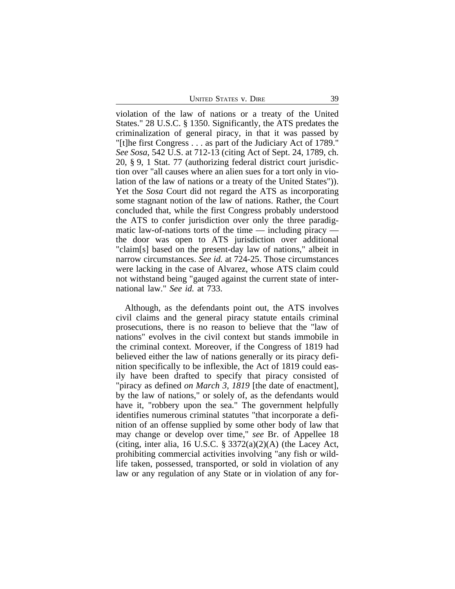UNITED STATES V. DIRE 39

violation of the law of nations or a treaty of the United States." 28 U.S.C. § 1350. Significantly, the ATS predates the criminalization of general piracy, in that it was passed by "[t]he first Congress . . . as part of the Judiciary Act of 1789." *See Sosa*, 542 U.S. at 712-13 (citing Act of Sept. 24, 1789, ch. 20, § 9, 1 Stat. 77 (authorizing federal district court jurisdiction over "all causes where an alien sues for a tort only in violation of the law of nations or a treaty of the United States")). Yet the *Sosa* Court did not regard the ATS as incorporating some stagnant notion of the law of nations. Rather, the Court concluded that, while the first Congress probably understood the ATS to confer jurisdiction over only the three paradigmatic law-of-nations torts of the time  $-$  including piracy  $$ the door was open to ATS jurisdiction over additional "claim[s] based on the present-day law of nations," albeit in narrow circumstances. *See id.* at 724-25. Those circumstances were lacking in the case of Alvarez, whose ATS claim could not withstand being "gauged against the current state of international law." *See id.* at 733.

Although, as the defendants point out, the ATS involves civil claims and the general piracy statute entails criminal prosecutions, there is no reason to believe that the "law of nations" evolves in the civil context but stands immobile in the criminal context. Moreover, if the Congress of 1819 had believed either the law of nations generally or its piracy definition specifically to be inflexible, the Act of 1819 could easily have been drafted to specify that piracy consisted of "piracy as defined *on March 3, 1819* [the date of enactment], by the law of nations," or solely of, as the defendants would have it, "robbery upon the sea." The government helpfully identifies numerous criminal statutes "that incorporate a definition of an offense supplied by some other body of law that may change or develop over time," *see* Br. of Appellee 18 (citing, inter alia, 16 U.S.C.  $\S 3372(a)(2)(A)$  (the Lacey Act, prohibiting commercial activities involving "any fish or wildlife taken, possessed, transported, or sold in violation of any law or any regulation of any State or in violation of any for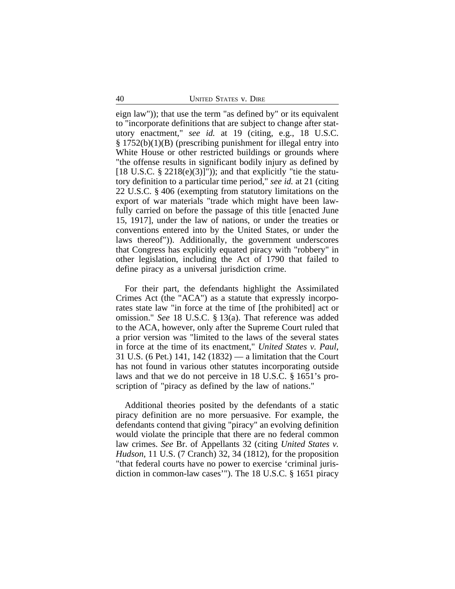eign law")); that use the term "as defined by" or its equivalent to "incorporate definitions that are subject to change after statutory enactment," *see id.* at 19 (citing, e.g., 18 U.S.C. § 1752(b)(1)(B) (prescribing punishment for illegal entry into White House or other restricted buildings or grounds where "the offense results in significant bodily injury as defined by [18 U.S.C.  $\S 2218(e)(3)$ ]")); and that explicitly "tie the statutory definition to a particular time period," *see id.* at 21 (citing 22 U.S.C. § 406 (exempting from statutory limitations on the export of war materials "trade which might have been lawfully carried on before the passage of this title [enacted June 15, 1917], under the law of nations, or under the treaties or conventions entered into by the United States, or under the laws thereof")). Additionally, the government underscores that Congress has explicitly equated piracy with "robbery" in other legislation, including the Act of 1790 that failed to define piracy as a universal jurisdiction crime.

For their part, the defendants highlight the Assimilated Crimes Act (the "ACA") as a statute that expressly incorporates state law "in force at the time of [the prohibited] act or omission." *See* 18 U.S.C. § 13(a). That reference was added to the ACA, however, only after the Supreme Court ruled that a prior version was "limited to the laws of the several states in force at the time of its enactment," *United States v. Paul*, 31 U.S. (6 Pet.) 141, 142 (1832) — a limitation that the Court has not found in various other statutes incorporating outside laws and that we do not perceive in 18 U.S.C. § 1651's proscription of "piracy as defined by the law of nations."

Additional theories posited by the defendants of a static piracy definition are no more persuasive. For example, the defendants contend that giving "piracy" an evolving definition would violate the principle that there are no federal common law crimes. *See* Br. of Appellants 32 (citing *United States v. Hudson*, 11 U.S. (7 Cranch) 32, 34 (1812), for the proposition "that federal courts have no power to exercise 'criminal jurisdiction in common-law cases'"). The 18 U.S.C. § 1651 piracy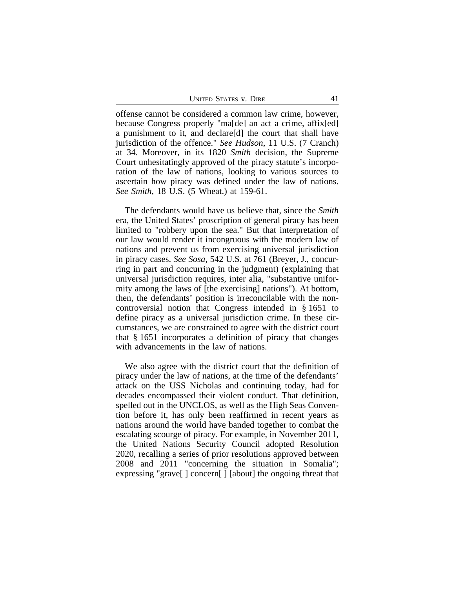UNITED STATES V. DIRE 41

offense cannot be considered a common law crime, however, because Congress properly "ma[de] an act a crime, affix[ed] a punishment to it, and declare[d] the court that shall have jurisdiction of the offence." *See Hudson*, 11 U.S. (7 Cranch) at 34. Moreover, in its 1820 *Smith* decision, the Supreme Court unhesitatingly approved of the piracy statute's incorporation of the law of nations, looking to various sources to ascertain how piracy was defined under the law of nations. *See Smith*, 18 U.S. (5 Wheat.) at 159-61.

The defendants would have us believe that, since the *Smith* era, the United States' proscription of general piracy has been limited to "robbery upon the sea." But that interpretation of our law would render it incongruous with the modern law of nations and prevent us from exercising universal jurisdiction in piracy cases. *See Sosa*, 542 U.S. at 761 (Breyer, J., concurring in part and concurring in the judgment) (explaining that universal jurisdiction requires, inter alia, "substantive uniformity among the laws of [the exercising] nations"). At bottom, then, the defendants' position is irreconcilable with the noncontroversial notion that Congress intended in § 1651 to define piracy as a universal jurisdiction crime. In these circumstances, we are constrained to agree with the district court that § 1651 incorporates a definition of piracy that changes with advancements in the law of nations.

We also agree with the district court that the definition of piracy under the law of nations, at the time of the defendants' attack on the USS Nicholas and continuing today, had for decades encompassed their violent conduct. That definition, spelled out in the UNCLOS, as well as the High Seas Convention before it, has only been reaffirmed in recent years as nations around the world have banded together to combat the escalating scourge of piracy. For example, in November 2011, the United Nations Security Council adopted Resolution 2020, recalling a series of prior resolutions approved between 2008 and 2011 "concerning the situation in Somalia"; expressing "grave[ ] concern[ ] [about] the ongoing threat that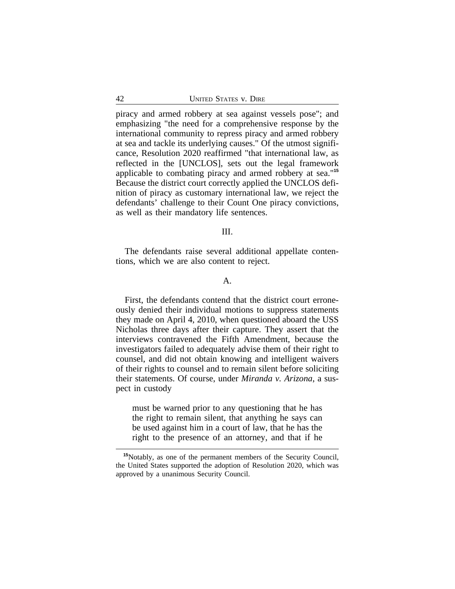piracy and armed robbery at sea against vessels pose"; and emphasizing "the need for a comprehensive response by the international community to repress piracy and armed robbery at sea and tackle its underlying causes." Of the utmost significance, Resolution 2020 reaffirmed "that international law, as reflected in the [UNCLOS], sets out the legal framework applicable to combating piracy and armed robbery at sea."**<sup>15</sup>** Because the district court correctly applied the UNCLOS definition of piracy as customary international law, we reject the defendants' challenge to their Count One piracy convictions, as well as their mandatory life sentences.

#### III.

The defendants raise several additional appellate contentions, which we are also content to reject.

### A.

First, the defendants contend that the district court erroneously denied their individual motions to suppress statements they made on April 4, 2010, when questioned aboard the USS Nicholas three days after their capture. They assert that the interviews contravened the Fifth Amendment, because the investigators failed to adequately advise them of their right to counsel, and did not obtain knowing and intelligent waivers of their rights to counsel and to remain silent before soliciting their statements. Of course, under *Miranda v. Arizona*, a suspect in custody

must be warned prior to any questioning that he has the right to remain silent, that anything he says can be used against him in a court of law, that he has the right to the presence of an attorney, and that if he

**<sup>15</sup>**Notably, as one of the permanent members of the Security Council, the United States supported the adoption of Resolution 2020, which was approved by a unanimous Security Council.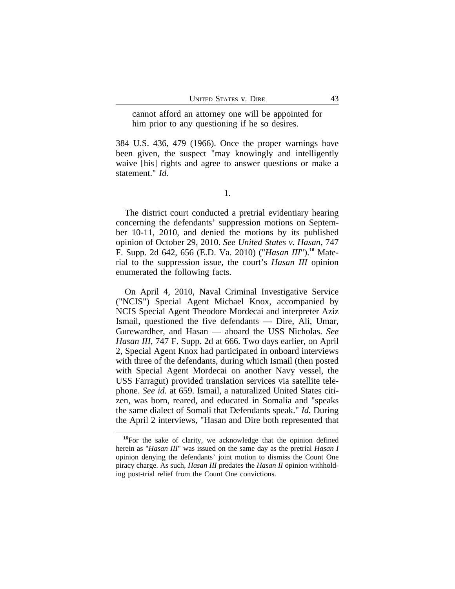cannot afford an attorney one will be appointed for him prior to any questioning if he so desires.

384 U.S. 436, 479 (1966). Once the proper warnings have been given, the suspect "may knowingly and intelligently waive [his] rights and agree to answer questions or make a statement." *Id.*

1.

The district court conducted a pretrial evidentiary hearing concerning the defendants' suppression motions on September 10-11, 2010, and denied the motions by its published opinion of October 29, 2010. *See United States v. Hasan*, 747 F. Supp. 2d 642, 656 (E.D. Va. 2010) ("*Hasan III*").**16** Material to the suppression issue, the court's *Hasan III* opinion enumerated the following facts.

On April 4, 2010, Naval Criminal Investigative Service ("NCIS") Special Agent Michael Knox, accompanied by NCIS Special Agent Theodore Mordecai and interpreter Aziz Ismail, questioned the five defendants — Dire, Ali, Umar, Gurewardher, and Hasan — aboard the USS Nicholas. *See Hasan III*, 747 F. Supp. 2d at 666. Two days earlier, on April 2, Special Agent Knox had participated in onboard interviews with three of the defendants, during which Ismail (then posted with Special Agent Mordecai on another Navy vessel, the USS Farragut) provided translation services via satellite telephone. *See id.* at 659. Ismail, a naturalized United States citizen, was born, reared, and educated in Somalia and "speaks the same dialect of Somali that Defendants speak." *Id.* During the April 2 interviews, "Hasan and Dire both represented that

**<sup>16</sup>**For the sake of clarity, we acknowledge that the opinion defined herein as "*Hasan III*" was issued on the same day as the pretrial *Hasan I* opinion denying the defendants' joint motion to dismiss the Count One piracy charge. As such, *Hasan III* predates the *Hasan II* opinion withholding post-trial relief from the Count One convictions.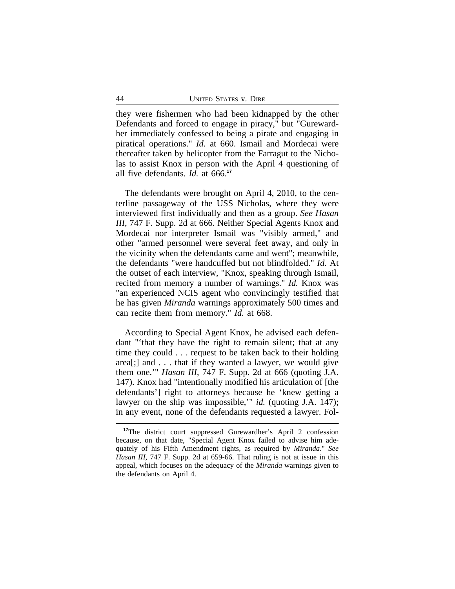they were fishermen who had been kidnapped by the other Defendants and forced to engage in piracy," but "Gurewardher immediately confessed to being a pirate and engaging in piratical operations." *Id.* at 660. Ismail and Mordecai were thereafter taken by helicopter from the Farragut to the Nicholas to assist Knox in person with the April 4 questioning of all five defendants. *Id.* at 666.**<sup>17</sup>**

The defendants were brought on April 4, 2010, to the centerline passageway of the USS Nicholas, where they were interviewed first individually and then as a group. *See Hasan III*, 747 F. Supp. 2d at 666. Neither Special Agents Knox and Mordecai nor interpreter Ismail was "visibly armed," and other "armed personnel were several feet away, and only in the vicinity when the defendants came and went"; meanwhile, the defendants "were handcuffed but not blindfolded." *Id.* At the outset of each interview, "Knox, speaking through Ismail, recited from memory a number of warnings." *Id.* Knox was "an experienced NCIS agent who convincingly testified that he has given *Miranda* warnings approximately 500 times and can recite them from memory." *Id.* at 668.

According to Special Agent Knox, he advised each defendant "'that they have the right to remain silent; that at any time they could . . . request to be taken back to their holding area[;] and . . . that if they wanted a lawyer, we would give them one.'" *Hasan III*, 747 F. Supp. 2d at 666 (quoting J.A. 147). Knox had "intentionally modified his articulation of [the defendants'] right to attorneys because he 'knew getting a lawyer on the ship was impossible,'" *id.* (quoting J.A. 147); in any event, none of the defendants requested a lawyer. Fol-

**<sup>17</sup>**The district court suppressed Gurewardher's April 2 confession because, on that date, "Special Agent Knox failed to advise him adequately of his Fifth Amendment rights, as required by *Miranda*." *See Hasan III*, 747 F. Supp. 2d at 659-66. That ruling is not at issue in this appeal, which focuses on the adequacy of the *Miranda* warnings given to the defendants on April 4.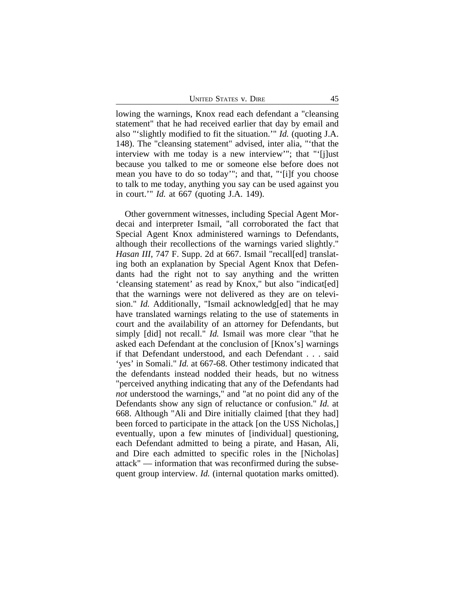UNITED STATES V. DIRE 45

lowing the warnings, Knox read each defendant a "cleansing statement" that he had received earlier that day by email and also "'slightly modified to fit the situation.'" *Id.* (quoting J.A. 148). The "cleansing statement" advised, inter alia, "'that the interview with me today is a new interview'"; that "'[j]ust because you talked to me or someone else before does not mean you have to do so today'"; and that, "'[i]f you choose to talk to me today, anything you say can be used against you in court.'" *Id.* at 667 (quoting J.A. 149).

Other government witnesses, including Special Agent Mordecai and interpreter Ismail, "all corroborated the fact that Special Agent Knox administered warnings to Defendants, although their recollections of the warnings varied slightly." *Hasan III*, 747 F. Supp. 2d at 667. Ismail "recall[ed] translating both an explanation by Special Agent Knox that Defendants had the right not to say anything and the written 'cleansing statement' as read by Knox," but also "indicat[ed] that the warnings were not delivered as they are on television." *Id.* Additionally, "Ismail acknowledg[ed] that he may have translated warnings relating to the use of statements in court and the availability of an attorney for Defendants, but simply [did] not recall." *Id.* Ismail was more clear "that he asked each Defendant at the conclusion of [Knox's] warnings if that Defendant understood, and each Defendant . . . said 'yes' in Somali." *Id.* at 667-68. Other testimony indicated that the defendants instead nodded their heads, but no witness "perceived anything indicating that any of the Defendants had *not* understood the warnings," and "at no point did any of the Defendants show any sign of reluctance or confusion." *Id.* at 668. Although "Ali and Dire initially claimed [that they had] been forced to participate in the attack [on the USS Nicholas,] eventually, upon a few minutes of [individual] questioning, each Defendant admitted to being a pirate, and Hasan, Ali, and Dire each admitted to specific roles in the [Nicholas] attack" — information that was reconfirmed during the subsequent group interview. *Id.* (internal quotation marks omitted).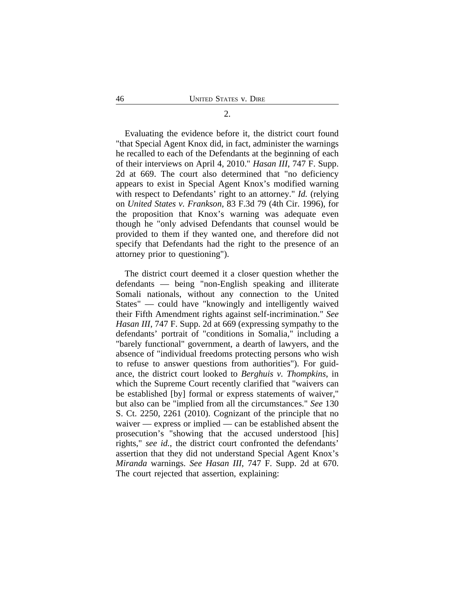Evaluating the evidence before it, the district court found "that Special Agent Knox did, in fact, administer the warnings he recalled to each of the Defendants at the beginning of each of their interviews on April 4, 2010." *Hasan III*, 747 F. Supp. 2d at 669. The court also determined that "no deficiency appears to exist in Special Agent Knox's modified warning with respect to Defendants' right to an attorney." *Id.* (relying on *United States v. Frankson*, 83 F.3d 79 (4th Cir. 1996), for the proposition that Knox's warning was adequate even though he "only advised Defendants that counsel would be provided to them if they wanted one, and therefore did not specify that Defendants had the right to the presence of an attorney prior to questioning").

The district court deemed it a closer question whether the defendants — being "non-English speaking and illiterate Somali nationals, without any connection to the United States" — could have "knowingly and intelligently waived their Fifth Amendment rights against self-incrimination." *See Hasan III*, 747 F. Supp. 2d at 669 (expressing sympathy to the defendants' portrait of "conditions in Somalia," including a "barely functional" government, a dearth of lawyers, and the absence of "individual freedoms protecting persons who wish to refuse to answer questions from authorities"). For guidance, the district court looked to *Berghuis v. Thompkins*, in which the Supreme Court recently clarified that "waivers can be established [by] formal or express statements of waiver," but also can be "implied from all the circumstances." *See* 130 S. Ct. 2250, 2261 (2010). Cognizant of the principle that no waiver — express or implied — can be established absent the prosecution's "showing that the accused understood [his] rights," *see id.*, the district court confronted the defendants' assertion that they did not understand Special Agent Knox's *Miranda* warnings. *See Hasan III*, 747 F. Supp. 2d at 670. The court rejected that assertion, explaining:

# 2.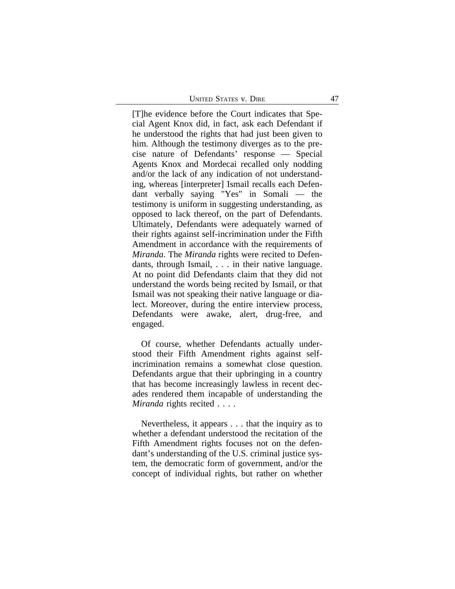UNITED STATES V. DIRE 47

[T]he evidence before the Court indicates that Special Agent Knox did, in fact, ask each Defendant if he understood the rights that had just been given to him. Although the testimony diverges as to the precise nature of Defendants' response — Special Agents Knox and Mordecai recalled only nodding and/or the lack of any indication of not understanding, whereas [interpreter] Ismail recalls each Defendant verbally saying "Yes" in Somali — the testimony is uniform in suggesting understanding, as opposed to lack thereof, on the part of Defendants. Ultimately, Defendants were adequately warned of their rights against self-incrimination under the Fifth Amendment in accordance with the requirements of *Miranda*. The *Miranda* rights were recited to Defendants, through Ismail, . . . in their native language. At no point did Defendants claim that they did not understand the words being recited by Ismail, or that Ismail was not speaking their native language or dialect. Moreover, during the entire interview process, Defendants were awake, alert, drug-free, and engaged.

Of course, whether Defendants actually understood their Fifth Amendment rights against selfincrimination remains a somewhat close question. Defendants argue that their upbringing in a country that has become increasingly lawless in recent decades rendered them incapable of understanding the *Miranda* rights recited . . . .

Nevertheless, it appears . . . that the inquiry as to whether a defendant understood the recitation of the Fifth Amendment rights focuses not on the defendant's understanding of the U.S. criminal justice system, the democratic form of government, and/or the concept of individual rights, but rather on whether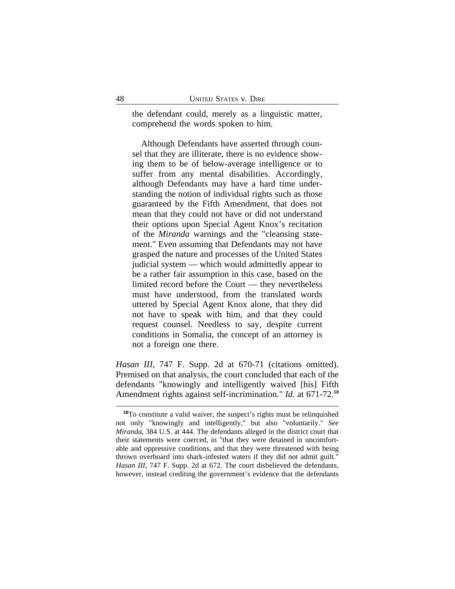the defendant could, merely as a linguistic matter, comprehend the words spoken to him.

Although Defendants have asserted through counsel that they are illiterate, there is no evidence showing them to be of below-average intelligence or to suffer from any mental disabilities. Accordingly, although Defendants may have a hard time understanding the notion of individual rights such as those guaranteed by the Fifth Amendment, that does not mean that they could not have or did not understand their options upon Special Agent Knox's recitation of the *Miranda* warnings and the "cleansing statement." Even assuming that Defendants may not have grasped the nature and processes of the United States judicial system — which would admittedly appear to be a rather fair assumption in this case, based on the limited record before the Court — they nevertheless must have understood, from the translated words uttered by Special Agent Knox alone, that they did not have to speak with him, and that they could request counsel. Needless to say, despite current conditions in Somalia, the concept of an attorney is not a foreign one there.

*Hasan III*, 747 F. Supp. 2d at 670-71 (citations omitted). Premised on that analysis, the court concluded that each of the defendants "knowingly and intelligently waived [his] Fifth Amendment rights against self-incrimination." *Id.* at 671-72.**<sup>18</sup>**

**<sup>18</sup>**To constitute a valid waiver, the suspect's rights must be relinquished not only "knowingly and intelligently," but also "voluntarily." *See Miranda*, 384 U.S. at 444. The defendants alleged in the district court that their statements were coerced, in "that they were detained in uncomfortable and oppressive conditions, and that they were threatened with being thrown overboard into shark-infested waters if they did not admit guilt." *Hasan III*, 747 F. Supp. 2d at 672. The court disbelieved the defendants, however, instead crediting the government's evidence that the defendants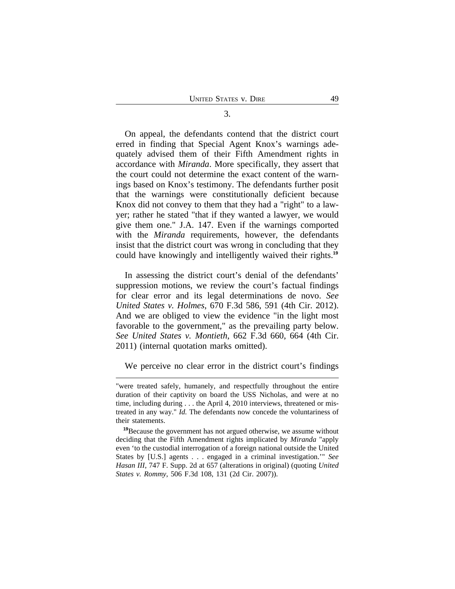On appeal, the defendants contend that the district court erred in finding that Special Agent Knox's warnings adequately advised them of their Fifth Amendment rights in accordance with *Miranda*. More specifically, they assert that the court could not determine the exact content of the warnings based on Knox's testimony. The defendants further posit that the warnings were constitutionally deficient because Knox did not convey to them that they had a "right" to a lawyer; rather he stated "that if they wanted a lawyer, we would give them one." J.A. 147. Even if the warnings comported with the *Miranda* requirements, however, the defendants insist that the district court was wrong in concluding that they could have knowingly and intelligently waived their rights.**<sup>19</sup>**

In assessing the district court's denial of the defendants' suppression motions, we review the court's factual findings for clear error and its legal determinations de novo. *See United States v. Holmes*, 670 F.3d 586, 591 (4th Cir. 2012). And we are obliged to view the evidence "in the light most favorable to the government," as the prevailing party below. *See United States v. Montieth*, 662 F.3d 660, 664 (4th Cir. 2011) (internal quotation marks omitted).

We perceive no clear error in the district court's findings

3.

<sup>&</sup>quot;were treated safely, humanely, and respectfully throughout the entire duration of their captivity on board the USS Nicholas, and were at no time, including during . . . the April 4, 2010 interviews, threatened or mistreated in any way." *Id.* The defendants now concede the voluntariness of their statements.

**<sup>19</sup>**Because the government has not argued otherwise, we assume without deciding that the Fifth Amendment rights implicated by *Miranda* "apply even 'to the custodial interrogation of a foreign national outside the United States by [U.S.] agents . . . engaged in a criminal investigation.'" *See Hasan III*, 747 F. Supp. 2d at 657 (alterations in original) (quoting *United States v. Rommy*, 506 F.3d 108, 131 (2d Cir. 2007)).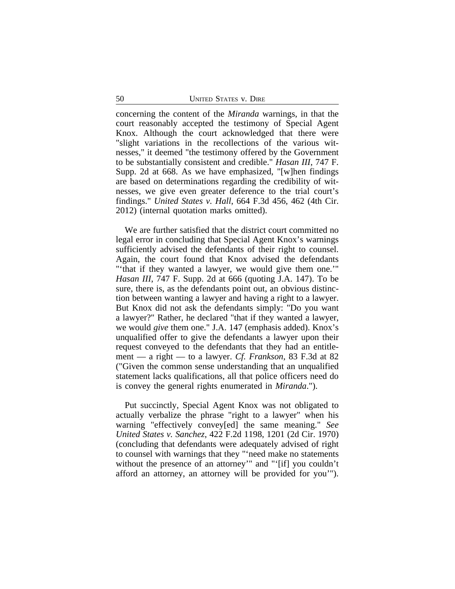concerning the content of the *Miranda* warnings, in that the court reasonably accepted the testimony of Special Agent Knox. Although the court acknowledged that there were "slight variations in the recollections of the various witnesses," it deemed "the testimony offered by the Government to be substantially consistent and credible." *Hasan III*, 747 F. Supp. 2d at 668. As we have emphasized, "[w]hen findings are based on determinations regarding the credibility of witnesses, we give even greater deference to the trial court's findings." *United States v. Hall*, 664 F.3d 456, 462 (4th Cir. 2012) (internal quotation marks omitted).

We are further satisfied that the district court committed no legal error in concluding that Special Agent Knox's warnings sufficiently advised the defendants of their right to counsel. Again, the court found that Knox advised the defendants "'that if they wanted a lawyer, we would give them one.'" *Hasan III*, 747 F. Supp. 2d at 666 (quoting J.A. 147). To be sure, there is, as the defendants point out, an obvious distinction between wanting a lawyer and having a right to a lawyer. But Knox did not ask the defendants simply: "Do you want a lawyer?" Rather, he declared "that if they wanted a lawyer, we would *give* them one." J.A. 147 (emphasis added). Knox's unqualified offer to give the defendants a lawyer upon their request conveyed to the defendants that they had an entitlement — a right — to a lawyer. *Cf. Frankson*, 83 F.3d at 82 ("Given the common sense understanding that an unqualified statement lacks qualifications, all that police officers need do is convey the general rights enumerated in *Miranda*.").

Put succinctly, Special Agent Knox was not obligated to actually verbalize the phrase "right to a lawyer" when his warning "effectively convey[ed] the same meaning." *See United States v. Sanchez*, 422 F.2d 1198, 1201 (2d Cir. 1970) (concluding that defendants were adequately advised of right to counsel with warnings that they "'need make no statements without the presence of an attorney'" and "'[if] you couldn't afford an attorney, an attorney will be provided for you'").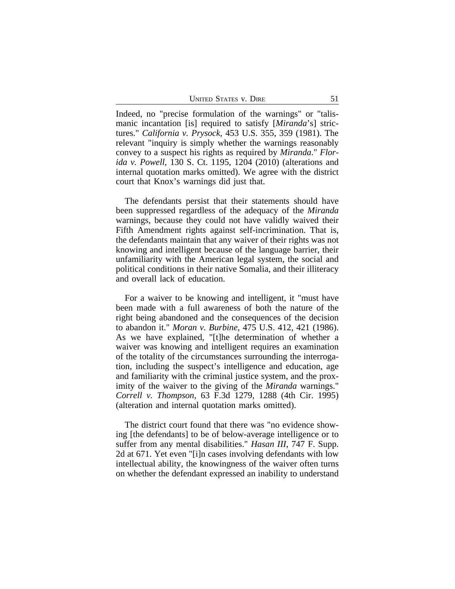UNITED STATES V. DIRE 51

Indeed, no "precise formulation of the warnings" or "talismanic incantation [is] required to satisfy [*Miranda*'s] strictures." *California v. Prysock*, 453 U.S. 355, 359 (1981). The relevant "inquiry is simply whether the warnings reasonably convey to a suspect his rights as required by *Miranda*." *Florida v. Powell*, 130 S. Ct. 1195, 1204 (2010) (alterations and internal quotation marks omitted). We agree with the district court that Knox's warnings did just that.

The defendants persist that their statements should have been suppressed regardless of the adequacy of the *Miranda* warnings, because they could not have validly waived their Fifth Amendment rights against self-incrimination. That is, the defendants maintain that any waiver of their rights was not knowing and intelligent because of the language barrier, their unfamiliarity with the American legal system, the social and political conditions in their native Somalia, and their illiteracy and overall lack of education.

For a waiver to be knowing and intelligent, it "must have been made with a full awareness of both the nature of the right being abandoned and the consequences of the decision to abandon it." *Moran v. Burbine*, 475 U.S. 412, 421 (1986). As we have explained, "[t]he determination of whether a waiver was knowing and intelligent requires an examination of the totality of the circumstances surrounding the interrogation, including the suspect's intelligence and education, age and familiarity with the criminal justice system, and the proximity of the waiver to the giving of the *Miranda* warnings." *Correll v. Thompson*, 63 F.3d 1279, 1288 (4th Cir. 1995) (alteration and internal quotation marks omitted).

The district court found that there was "no evidence showing [the defendants] to be of below-average intelligence or to suffer from any mental disabilities." *Hasan III*, 747 F. Supp. 2d at 671. Yet even "[i]n cases involving defendants with low intellectual ability, the knowingness of the waiver often turns on whether the defendant expressed an inability to understand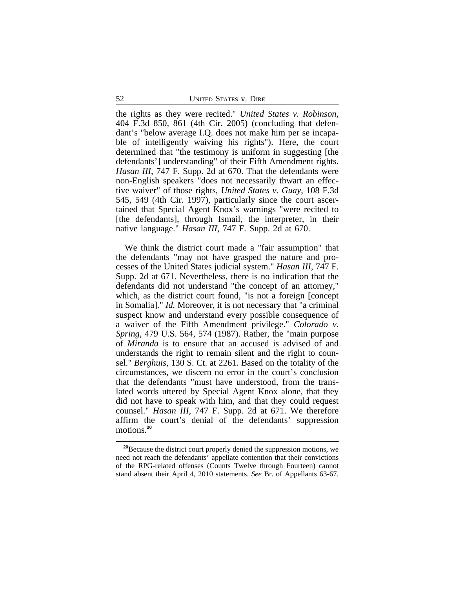the rights as they were recited." *United States v. Robinson*, 404 F.3d 850, 861 (4th Cir. 2005) (concluding that defendant's "below average I.Q. does not make him per se incapable of intelligently waiving his rights"). Here, the court determined that "the testimony is uniform in suggesting [the defendants'] understanding" of their Fifth Amendment rights. *Hasan III*, 747 F. Supp. 2d at 670. That the defendants were non-English speakers "does not necessarily thwart an effective waiver" of those rights, *United States v. Guay*, 108 F.3d 545, 549 (4th Cir. 1997), particularly since the court ascertained that Special Agent Knox's warnings "were recited to [the defendants], through Ismail, the interpreter, in their native language." *Hasan III*, 747 F. Supp. 2d at 670.

We think the district court made a "fair assumption" that the defendants "may not have grasped the nature and processes of the United States judicial system." *Hasan III*, 747 F. Supp. 2d at 671. Nevertheless, there is no indication that the defendants did not understand "the concept of an attorney," which, as the district court found, "is not a foreign [concept in Somalia]." *Id.* Moreover, it is not necessary that "a criminal suspect know and understand every possible consequence of a waiver of the Fifth Amendment privilege." *Colorado v. Spring*, 479 U.S. 564, 574 (1987). Rather, the "main purpose of *Miranda* is to ensure that an accused is advised of and understands the right to remain silent and the right to counsel." *Berghuis*, 130 S. Ct. at 2261. Based on the totality of the circumstances, we discern no error in the court's conclusion that the defendants "must have understood, from the translated words uttered by Special Agent Knox alone, that they did not have to speak with him, and that they could request counsel." *Hasan III*, 747 F. Supp. 2d at 671. We therefore affirm the court's denial of the defendants' suppression motions.**<sup>20</sup>**

**<sup>20</sup>**Because the district court properly denied the suppression motions, we need not reach the defendants' appellate contention that their convictions of the RPG-related offenses (Counts Twelve through Fourteen) cannot stand absent their April 4, 2010 statements. *See* Br. of Appellants 63-67.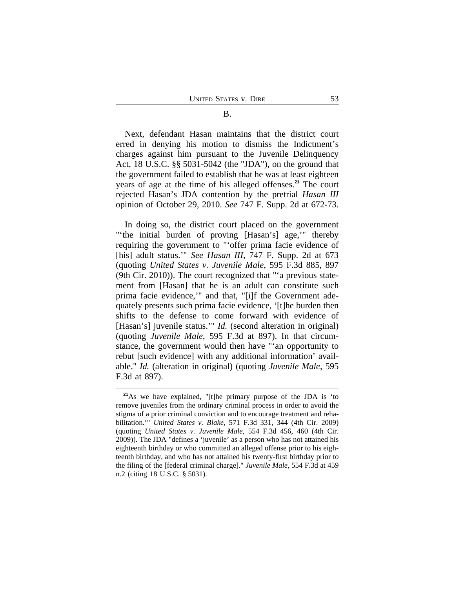Next, defendant Hasan maintains that the district court erred in denying his motion to dismiss the Indictment's charges against him pursuant to the Juvenile Delinquency Act, 18 U.S.C. §§ 5031-5042 (the "JDA"), on the ground that the government failed to establish that he was at least eighteen years of age at the time of his alleged offenses.**<sup>21</sup>** The court rejected Hasan's JDA contention by the pretrial *Hasan III* opinion of October 29, 2010. *See* 747 F. Supp. 2d at 672-73.

In doing so, the district court placed on the government "'the initial burden of proving [Hasan's] age,'" thereby requiring the government to "'offer prima facie evidence of [his] adult status.'" *See Hasan III*, 747 F. Supp. 2d at 673 (quoting *United States v. Juvenile Male*, 595 F.3d 885, 897 (9th Cir. 2010)). The court recognized that "'a previous statement from [Hasan] that he is an adult can constitute such prima facie evidence,'" and that, "[i]f the Government adequately presents such prima facie evidence, '[t]he burden then shifts to the defense to come forward with evidence of [Hasan's] juvenile status.'" *Id.* (second alteration in original) (quoting *Juvenile Male*, 595 F.3d at 897). In that circumstance, the government would then have "'an opportunity to rebut [such evidence] with any additional information' available." *Id.* (alteration in original) (quoting *Juvenile Male*, 595 F.3d at 897).

**<sup>21</sup>**As we have explained, "[t]he primary purpose of the JDA is 'to remove juveniles from the ordinary criminal process in order to avoid the stigma of a prior criminal conviction and to encourage treatment and rehabilitation.'" *United States v. Blake*, 571 F.3d 331, 344 (4th Cir. 2009) (quoting *United States v. Juvenile Male*, 554 F.3d 456, 460 (4th Cir. 2009)). The JDA "defines a 'juvenile' as a person who has not attained his eighteenth birthday or who committed an alleged offense prior to his eighteenth birthday, and who has not attained his twenty-first birthday prior to the filing of the [federal criminal charge]." *Juvenile Male*, 554 F.3d at 459 n.2 (citing 18 U.S.C. § 5031).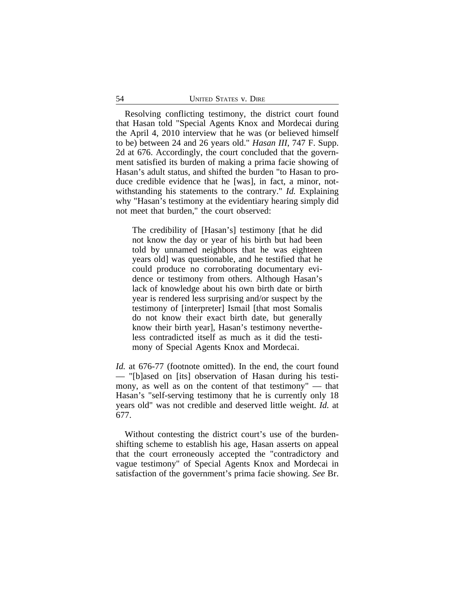Resolving conflicting testimony, the district court found that Hasan told "Special Agents Knox and Mordecai during the April 4, 2010 interview that he was (or believed himself to be) between 24 and 26 years old." *Hasan III*, 747 F. Supp. 2d at 676. Accordingly, the court concluded that the government satisfied its burden of making a prima facie showing of Hasan's adult status, and shifted the burden "to Hasan to produce credible evidence that he [was], in fact, a minor, notwithstanding his statements to the contrary." *Id.* Explaining why "Hasan's testimony at the evidentiary hearing simply did not meet that burden," the court observed:

The credibility of [Hasan's] testimony [that he did not know the day or year of his birth but had been told by unnamed neighbors that he was eighteen years old] was questionable, and he testified that he could produce no corroborating documentary evidence or testimony from others. Although Hasan's lack of knowledge about his own birth date or birth year is rendered less surprising and/or suspect by the testimony of [interpreter] Ismail [that most Somalis do not know their exact birth date, but generally know their birth year], Hasan's testimony nevertheless contradicted itself as much as it did the testimony of Special Agents Knox and Mordecai.

*Id.* at 676-77 (footnote omitted). In the end, the court found — "[b]ased on [its] observation of Hasan during his testimony, as well as on the content of that testimony" — that Hasan's "self-serving testimony that he is currently only 18 years old" was not credible and deserved little weight. *Id.* at 677.

Without contesting the district court's use of the burdenshifting scheme to establish his age, Hasan asserts on appeal that the court erroneously accepted the "contradictory and vague testimony" of Special Agents Knox and Mordecai in satisfaction of the government's prima facie showing. *See* Br.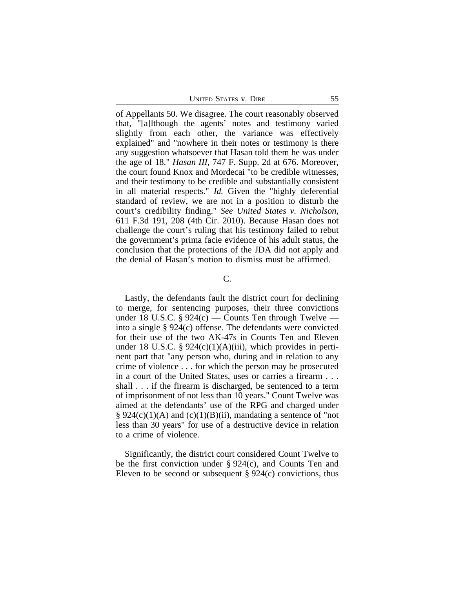UNITED STATES V. DIRE 55

of Appellants 50. We disagree. The court reasonably observed that, "[a]lthough the agents' notes and testimony varied slightly from each other, the variance was effectively explained" and "nowhere in their notes or testimony is there any suggestion whatsoever that Hasan told them he was under the age of 18." *Hasan III*, 747 F. Supp. 2d at 676. Moreover, the court found Knox and Mordecai "to be credible witnesses, and their testimony to be credible and substantially consistent in all material respects." *Id.* Given the "highly deferential standard of review, we are not in a position to disturb the court's credibility finding." *See United States v. Nicholson*, 611 F.3d 191, 208 (4th Cir. 2010). Because Hasan does not challenge the court's ruling that his testimony failed to rebut the government's prima facie evidence of his adult status, the conclusion that the protections of the JDA did not apply and the denial of Hasan's motion to dismiss must be affirmed.

# C.

Lastly, the defendants fault the district court for declining to merge, for sentencing purposes, their three convictions under 18 U.S.C.  $\S 924(c)$  — Counts Ten through Twelve into a single § 924(c) offense. The defendants were convicted for their use of the two AK-47s in Counts Ten and Eleven under 18 U.S.C. §  $924(c)(1)(A)(iii)$ , which provides in pertinent part that "any person who, during and in relation to any crime of violence . . . for which the person may be prosecuted in a court of the United States, uses or carries a firearm . . . shall . . . if the firearm is discharged, be sentenced to a term of imprisonment of not less than 10 years." Count Twelve was aimed at the defendants' use of the RPG and charged under § 924(c)(1)(A) and (c)(1)(B)(ii), mandating a sentence of "not less than 30 years" for use of a destructive device in relation to a crime of violence.

Significantly, the district court considered Count Twelve to be the first conviction under § 924(c), and Counts Ten and Eleven to be second or subsequent  $\S 924(c)$  convictions, thus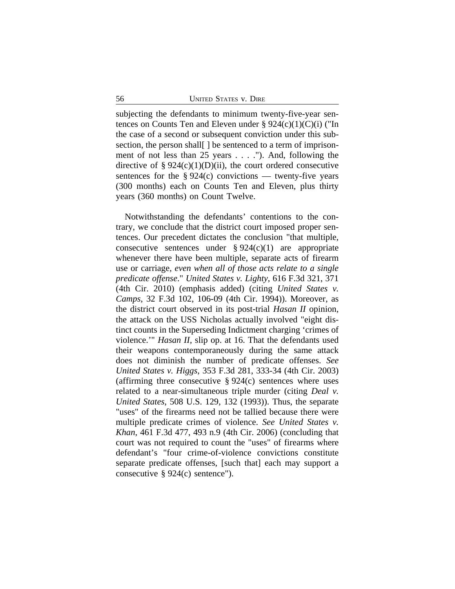subjecting the defendants to minimum twenty-five-year sentences on Counts Ten and Eleven under  $\S 924(c)(1)(C)(i)$  ("In the case of a second or subsequent conviction under this subsection, the person shall  $\vert$  be sentenced to a term of imprisonment of not less than 25 years . . . ."). And, following the directive of §  $924(c)(1)(D)(ii)$ , the court ordered consecutive sentences for the  $\S 924(c)$  convictions — twenty-five years (300 months) each on Counts Ten and Eleven, plus thirty years (360 months) on Count Twelve.

Notwithstanding the defendants' contentions to the contrary, we conclude that the district court imposed proper sentences. Our precedent dictates the conclusion "that multiple, consecutive sentences under  $\S 924(c)(1)$  are appropriate whenever there have been multiple, separate acts of firearm use or carriage, *even when all of those acts relate to a single predicate offense*." *United States v. Lighty*, 616 F.3d 321, 371 (4th Cir. 2010) (emphasis added) (citing *United States v. Camps*, 32 F.3d 102, 106-09 (4th Cir. 1994)). Moreover, as the district court observed in its post-trial *Hasan II* opinion, the attack on the USS Nicholas actually involved "eight distinct counts in the Superseding Indictment charging 'crimes of violence.'" *Hasan II*, slip op. at 16. That the defendants used their weapons contemporaneously during the same attack does not diminish the number of predicate offenses. *See United States v. Higgs*, 353 F.3d 281, 333-34 (4th Cir. 2003) (affirming three consecutive  $\S 924(c)$  sentences where uses related to a near-simultaneous triple murder (citing *Deal v. United States*, 508 U.S. 129, 132 (1993)). Thus, the separate "uses" of the firearms need not be tallied because there were multiple predicate crimes of violence. *See United States v. Khan*, 461 F.3d 477, 493 n.9 (4th Cir. 2006) (concluding that court was not required to count the "uses" of firearms where defendant's "four crime-of-violence convictions constitute separate predicate offenses, [such that] each may support a consecutive § 924(c) sentence").